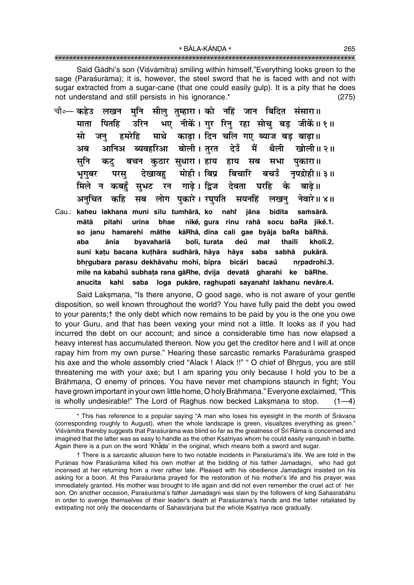Said Gādhi's son (Viśvāmitra) smiling within himself,"Everything looks green to the sage (Paraśurāma); it is, however, the steel sword that he is faced with and not with sugar extracted from a sugar-cane (that one could easily gulp). It is a pity that he does not understand and still persists in his ignorance.<sup>\*</sup>  $(275)$ 

- मनि सील तम्हारा। को नहिं जान बिदित संसारा॥ चौ०— कहेउ लखन भए नीकें। गर रिन रहा सोच बड़ जीकें॥ १॥ माता पितहि उरिन हमरेहि माथे काढा। दिन चलि गए ब्याज बड़ बाढा।। मो जन बोली । तरत देउँ **ब्यवहरिआ** मैं थैली अब आनिअ खोली॥ २॥ सनि बचन कठार सधारा। हाय हाय सब सभा कट पकारा ॥ मोही। बिप्र बिचारि देखावह बचउँ नपद्रोही॥ ३॥ भगबर परस गाढे। द्विज देवता घरहि के मिले सभट रन बाढे ॥ न कबहँ अनचित कहि सब लोग पकारे। रघपति सयनहिं नेवारे॥ ४॥ लखन
- jāna Cau.: kaheu lakhana muni sīlu tumhārā, ko nahi bidita samsārā. mātā pitahi urina bhae nīkė, gura rinu rahā socu baRa jīkė.1. so janu hamarehi māthe kāRhā, dina cali gae byāja baRa bāRhā. aba ānia byavahariā bolī, turata deů mat thailī kholī.2. suni katu bacana kuthāra sudhārā, hāya hāya saba sabhā pukārā. bhrgubara parasu dekhāvahu mohī, bipra bicāri bacaů nrpadrohī.3. mile na kabahů subhata rana gāRhe, dvija devatā gharahi ke bāRhe. anucita kahi saba loga pukāre, raghupati sayanahi lakhanu nevāre.4.

Said Laksmana, "Is there anyone, O good sage, who is not aware of your gentle disposition, so well known throughout the world? You have fully paid the debt you owed to your parents; t the only debt which now remains to be paid by you is the one you owe to your Guru, and that has been vexing your mind not a little. It looks as if you had incurred the debt on our account; and since a considerable time has now elapsed a heavy interest has accumulated thereon. Now you get the creditor here and I will at once rapay him from my own purse." Hearing these sarcastic remarks Parasurama grasped his axe and the whole assembly cried "Alack ! Alack !!" " O chief of Bhrgus, you are still threatening me with your axe; but I am sparing you only because I hold you to be a Brāhmana, O enemy of princes. You have never met champions staunch in fight; You have grown important in your own little home, O holy Brāhmana." Everyone exclaimed, "This is wholly undesirable!" The Lord of Raghus now becked Laksmana to stop.  $(1-4)$ 

<sup>\*</sup> This has reference to a popular saying "A man who loses his eyesight in the month of Śrāvaṇa (corresponding roughly to August), when the whole landscape is green, visualizes everything as green." Viśvāmitra thereby suggests that Paraśurāma was blind so far as the greatness of Śrī Rāma is concerned and imagined that the latter was as easy to handle as the other Ksatriyas whom he could easily vanquish in battle. Again there is a pun on the word 'Khada' in the original, which means both a sword and sugar.

<sup>†</sup> There is a sarcastic allusion here to two notable incidents in Paraśurāma's life. We are told in the Purānas how Paraśurāma killed his own mother at the bidding of his father Jamadagni, who had got incensed at her returning from a river rather late. Pleased with his obedience Jamadagni insisted on his asking for a boon. At this Paraśurāma prayed for the restoration of his mother's life and his prayer was immediately granted. His mother was brought to life again and did not even remember the cruel act of her son. On another occasion, Paraśurāma's father Jamadagni was slain by the followers of king Sahasrabāhu in order to avenge themselves of their leader's death at Paraśurāma's hands and the latter retaliated by extirpating not only the descendants of Sahasrariuna but the whole Ksatriya race gradually.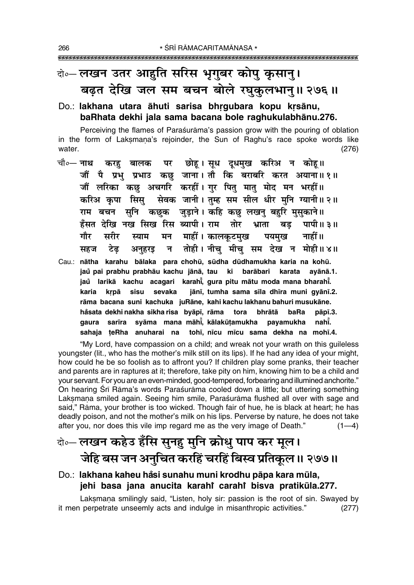## वे०-लखन उतर आहुति सरिस भूगुबर कोपु कुसानु। बढत देखि जल सम बचन बोले रघुकुलभान् ॥ २७६॥

#### Do.: lakhana utara āhuti sarisa bhrgubara kopu krsānu, baRhata dekhi jala sama bacana bole raghukulabhānu.276.

Perceiving the flames of Parasurama's passion grow with the pouring of oblation in the form of Laksmana's rejoinder, the Sun of Raghu's race spoke words like water.  $(276)$ 

करह बालक पर छोहू।सूध दूधमुख करिअ न कोहू॥ चौ∘— **नाथ** जौं पै प्रभु प्रभाउ कछ जाना। तौ कि बराबरि करत अयाना॥१॥ जौं लरिका कछ अचगरि करहीं। गुर पितु मातु मोद मन भरहीं॥ करिअ कपा सिस सेवक जानी। तम्ह सम सील धीर मनि ग्यानी॥२॥ राम बचन सनि कछक जुडाने। कहि कछ लखनु बहरि मुसुकाने॥ हँसत देखि नख सिख रिस ब्यापी। राम तोर भ्राता बड़ पापी॥ ३॥ मन माहीं। कालकुटमुख गौर सरीर पयमख नाहीं॥ स्याम न तोही। नीच मीच सम देख न मोही॥४॥ टेढ सहज अनहरड Cau.: nātha karahu bālaka para chohū, sūdha dūdhamukha karia na kohū. jaů pai prabhu prabhāu kachu jānā, tau ki barābari karata ayānā.1. jaŭ larikā kachu acagari karahī, gura pitu mātu moda mana bharahī. karia krpā sisu sevaka jānī, tumha sama sīla dhīra muni gyānī.2. rāma bacana suni kachuka juRāne, kahi kachu lakhanu bahuri musukāne. håsata dekhi nakha sikha risa byāpī, rāma tora bhrātā baRa pāpī.3.

gaura sarīra syāma mana māhī̇̃, kālakūṭamukha

sahaja teRha anuharai na

"My Lord, have compassion on a child; and wreak not your wrath on this guileless youngster (lit., who has the mother's milk still on its lips). If he had any idea of your might, how could he be so foolish as to affront you? If children play some pranks, their teacher and parents are in raptures at it; therefore, take pity on him, knowing him to be a child and your servant. For you are an even-minded, good-tempered, forbearing and illumined anchorite." On hearing Srī Rāma's words Paraśurāma cooled down a little; but uttering something Laksmana smiled again. Seeing him smile, Paraśurāma flushed all over with sage and said," Rāma, your brother is too wicked. Though fair of hue, he is black at heart; he has deadly poison, and not the mother's milk on his lips. Perverse by nature, he does not take after you, nor does this vile imp regard me as the very image of Death."  $(1-4)$ 

payamukha

tohī, nīcu mīcu sama dekha na mohī.4.

nahi.

### केन्लखन कहेउ हँसि सुनहु मुनि क्रोधु पाप कर मूल। जेहि बस जन अनुचित करहिं चरहिं बिस्व प्रतिकुल ॥ २७७॥

### Do.: lakhana kaheu håsi sunahu muni krodhu pāpa kara mūla, jehi basa jana anucita karahi carahi bisva pratikula.277.

Laksmana smilingly said, "Listen, holy sir: passion is the root of sin. Swayed by it men perpetrate unseemly acts and indulge in misanthropic activities."  $(277)$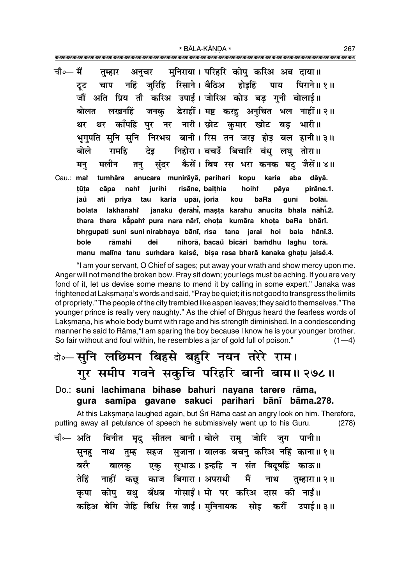- चौ०— मैं मनिराया। परिहरि कोप करिअ अब दाया॥ तम्हार अनचर चाप नहिं जरिहि रिसाने। बैठिअ होइहिं टूट पाय पिराने॥ १॥ जौं अति प्रिय तौ करिअ उपाई। जोरिअ कोउ बड गनी बोलाई॥ डेराहीं । मष्ट करह अनचित भल नाहीं ॥ २ ॥ लखनहिं जनक बोलत थर काँपहिं पर नर नारी। छोट कमार खोट बड भारी॥ धर भूगुपति सुनि सुनि निरभय बानी। रिस तन जरड होड़ बल हानी ।। ३ ।। निहोरा। बचउँ बिचारि बंध लघ तोरा॥ बोले रामहि देड कैसें। बिष रस भरा कनक घट जैसें॥४॥ मलीन संदर मन् तन
- tumhāra anucara munirāyā, parihari kopu Cau.: mat karia aba dāyā. nahi jurihi risāne, baithia hoiht pirāne.1. tūta cāpa pāya priya tau karia upāī, joria jaů ati kou baRa qunī bolāī. janaku derāhi, masta karahu anucita bhala nāhi.2. lakhanahi bolata thara thara kapahi pura nara nārī, chota kumāra khota baRa bhārī. bhrgupati suni suni nirabhaya bānī, risa tana jarai hoi bala hānī.3. bole rāmahi dei nihorā, bacaŭ bicāri bamdhu laghu torā. manu malīna tanu sumdara kaisē, bisa rasa bharā kanaka ghatu jaisē.4.

"I am your servant, O Chief of sages; put away your wrath and show mercy upon me. Anger will not mend the broken bow. Pray sit down; your legs must be aching. If you are very fond of it, let us devise some means to mend it by calling in some expert." Janaka was frightened at Laksmana's words and said, "Pray be quiet; it is not good to transgress the limits of propriety." The people of the city trembled like aspen leaves; they said to themselves." The younger prince is really very naughty." As the chief of Bhrgus heard the fearless words of Laksmana, his whole body burnt with rage and his strength diminished. In a condescending manner he said to Rāma, "I am sparing the boy because I know he is your younger brother. So fair without and foul within, he resembles a jar of gold full of poison."  $(1-4)$ 

### केन्-सुनि लछिमन बिहसे बहुरि नयन तरेरे राम। गुर समीप गवने सकुचि परिहरि बानी बाम॥ २७८॥

Do.: suni lachimana bihase bahuri nayana tarere rāma, gura samīpa gavane sakuci parihari bānī bāma.278.

At this Laksmana laughed again, but Srī Rāma cast an angry look on him. Therefore, putting away all petulance of speech he submissively went up to his Guru.  $(278)$ 

चौ⊶ अति बिनीत मद सीतल बानी।बोले राम जोरि जग पानी॥ तुम्ह सहज सुजाना । बालक बचनु करिअ नहिं काना ॥ १ ॥ नाथ सूनह बरौ एकु सुभाऊ।इन्हहि न संत बिदूषहिं काऊ॥ बालकू कछु काज बिगारा। अपराधी तेहिं मैं नाहीं नाथ तुम्हारा॥ २॥ बधु बँधब गोसाईं। मो पर करिअ दास की नाईं॥ कोप कपा कहिअ बेगि जेहि बिधि रिस जाई। मुनिनायक सोइ करौं उपाई॥३॥ 267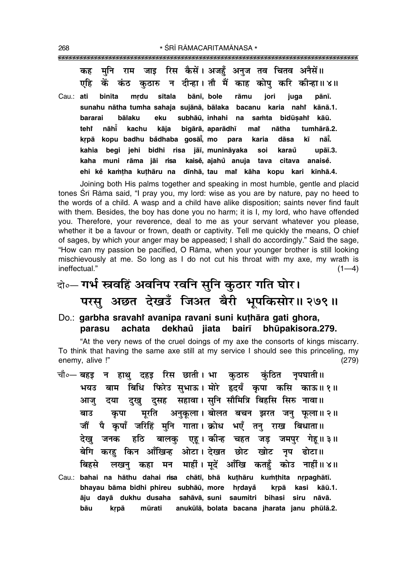मनि जाइ रिस कैसें । अजहँ अनज तव चितव अनैसें ॥ कह राम कठारु न दीन्हा।तौ मैं काह कोपु करि कीन्हा॥४॥ एहि कें कंठ Cau.: ati binīta mrdu sītala bānī, bole jori rāmu juga pānī. sunahu nātha tumha sahaia suiānā, bālaka bacanu karia nahi kānā.1. subhāū, inhahi na bidūsaht bararai **bālaku** eku samta kāū. tehr nāhī kachu kāja bigārā, aparādhī nātha tumhārā.2. mar krpā kopu badhu bådhaba gosāi, mo dāsa kī nāi. para karia kahia begi jehi bidhi risa jāī, munināyaka soi karaů upāī.3. kaha muni rāma jāi risa kaisě, ajahů anuja tava citava anaisě. ehi kě kamtha kuthāru na dīnhā, tau mar kāha kopu kari kīnhā.4.

Joining both His palms together and speaking in most humble, gentle and placid tones Śrī Rāma said, "I pray you, my lord: wise as you are by nature, pay no heed to the words of a child. A wasp and a child have alike disposition; saints never find fault with them. Besides, the boy has done you no harm; it is I, my lord, who have offended you. Therefore, your reverence, deal to me as your servant whatever you please, whether it be a favour or frown, death or captivity. Tell me quickly the means, O chief of sages, by which your anger may be appeased; I shall do accordingly." Said the sage, "How can my passion be pacified, O Rāma, when your younger brother is still looking mischievously at me. So long as I do not cut his throat with my axe, my wrath is ineffectual."  $(1-4)$ 

## बे॰- गर्भ स्त्रवहिं अवनिप रवनि सुनि कुठार गति घोर। परसु अछत देखउँ जिअत बैरी भूपकिसोर॥ २७९॥

#### Do.: garbha sravahi avanipa ravani suni kuthāra gati ghora, achata dekhaů jiata bairī bhūpakisora.279. parasu

"At the very news of the cruel doings of my axe the consorts of kings miscarry. To think that having the same axe still at my service I should see this princeling, my enemy, alive !"  $(279)$ 

- चौ∘— बहड़ न हाथ् दहड़ रिस छाती। भा कठारु कंठित नृपघाती॥ भयउ बाम बिधि फिरेउ सभाऊ। मोरे हृदयँ कपा कसि काऊ॥१॥ दया दुखु दुसह सहावा। सुनि सौमित्रि बिहसि सिरु नावा॥ आज कृपा मूरति अनुकूला। बोलत बचन झरत जनु फूला॥२॥ बाउ जौं पै कपाँ जरिहिं मनि गाता। क्रोध भएँ तन राख बिधाता॥ बालकु एहू। कीन्ह चहत जड़ जमपुर गेहू॥३॥ देख जनक हठि बेगि करह किन आँखिन्ह ओटा। देखत छोट खोट नप ढोटा॥ लखनु कहा मन माहीं। मूदें आँखि कतहुँ कोउ नाहीं॥४॥ बिहसे Cau.: bahai na hāthu dahai risa chātī, bhā kuthāru kumthita nrpaghātī.
- bhayau bāma bidhi phireu subhāū, more hrdayå krpā kasi kāū.1. āju dayā dukhu dusaha sahāvā, suni saumitri bihasi siru nāvā. anukūlā, bolata bacana iharata janu phūlā.2. bāu krpā mūrati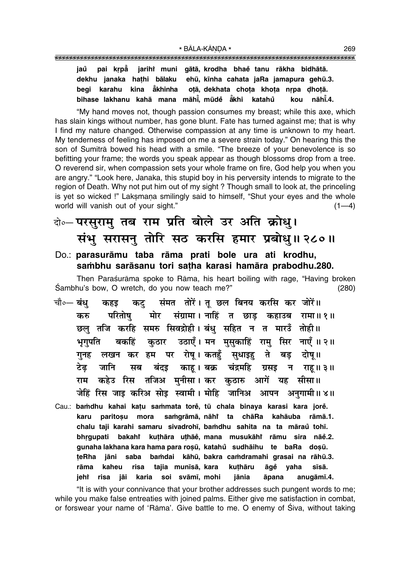pai krpå jarihi muni gātā, krodha bhaĕ tanu rākha bidhātā. jaů dekhu janaka hathi bālaku ehū, kīnha cahata jaRa jamapura gehū.3. begi karahu kina åkhinha otā, dekhata chota khota nrpa dhotā. bihase lakhanu kahā mana māhī̇̃. mūdeઁ ākhi katahů kou nāhī.4.

"My hand moves not, though passion consumes my breast; while this axe, which has slain kings without number, has gone blunt. Fate has turned against me; that is why I find my nature changed. Otherwise compassion at any time is unknown to my heart. My tenderness of feeling has imposed on me a severe strain today." On hearing this the son of Sumitra bowed his head with a smile. "The breeze of your benevolence is so befitting your frame; the words you speak appear as though blossoms drop from a tree. O reverend sir, when compassion sets your whole frame on fire, God help you when you are angry." "Look here, Janaka, this stupid boy in his perversity intends to migrate to the region of Death. Why not put him out of my sight? Though small to look at, the princeling is yet so wicked !" Laksmana smilingly said to himself, "Shut your eyes and the whole world will vanish out of your sight."  $(1-4)$ 

## के-परसुरामु तब राम प्रति बोले उर अति क्रोध्। संभु सरासनु तोरि सठ करसि हमार प्रबोधु॥ २८०॥

#### Do.: parasurāmu taba rāma prati bole ura ati krodhu, sambhu sarāsanu tori satha karasi hamāra prabodhu.280.

Then Paraśurāma spoke to Rāma, his heart boiling with rage, "Having broken Sambhu's bow, O wretch, do you now teach me?"  $(280)$ 

- संमत तोरें। तु छल बिनय करसि कर जोरें॥ चौ∘— बंध कहड कट् मोर संग्रामा। नाहिं त छाड कहाउब रामा॥१॥ करु परितोष छल तजि करहि समरु सिवद्रोही।बंध सहित न त मारउँ तोही॥ कठार उठाएँ। मन मसकाहिं राम सिर नाएँ ॥२॥ भगपति बकहिं पर रोष् । कतहँ सुधाइह ते गनह लखन कर हम बड दोष॥ टेढ जानि बंदइ काह । बक्र चंद्रमहि सब ग्रसइ न राह॥३॥ कहेउ रिस तजिअ मुनीसा। कर कुठारु आगें यह सीसा॥ राम जेहिं रिस जाइ करिअ सोइ स्वामी। मोहि जानिअ आपन अनुगामी॥४॥
- Cau.: bamdhu kahai katu sammata tore, tū chala binaya karasi kara jore. karu paritosu mora samgrāmā, nāhi ta chāRa kahāuba rāmā.1. chalu taji karahi samaru sivadrohī, bamdhu sahita na ta māraŭ tohī. bakahî kuthāra uthāě, mana musukāhî rāmu sira nāě.2. bhrqupati gunaha lakhana kara hama para rosū, katahů sudhāihu te baRa dosū. jāni teRha saba bamdai kāhū, bakra camdramahi grasai na rāhū.3. kaheu tajia munīsā, kara kuthāru rāma risa āqě yaha sīsā. jeht risa jāi karia soi svāmī, mohi jānia āpana anugāmī.4.

"It is with your connivance that your brother addresses such pungent words to me; while you make false entreaties with joined palms. Either give me satisfaction in combat, or forswear your name of 'Rama'. Give battle to me. O enemy of Siva, without taking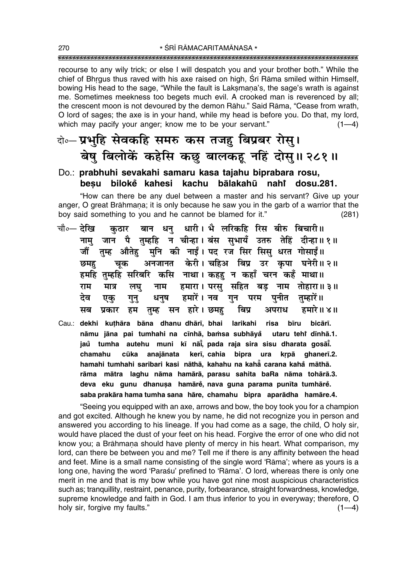recourse to any wily trick; or else I will despatch you and your brother both." While the chief of Bhrgus thus raved with his axe raised on high, Sri Rama smiled within Himself, bowing His head to the sage, "While the fault is Laksmana's, the sage's wrath is against me. Sometimes meekness too begets much evil. A crooked man is reverenced by all; the crescent moon is not devoured by the demon Rāhu." Said Rāma, "Cease from wrath, O lord of sages; the axe is in your hand, while my head is before you. Do that, my lord, which may pacify your anger; know me to be your servant."  $(1-4)$ 

### वे∘– प्रभुहि सेवकहि समरु कस तजह बिप्रबर रोस्। बेषु बिलोकें कहेसि कछु बालकहू नहिं दोसु॥ २८१॥

### Do.: prabhuhi sevakahi samaru kasa tajahu biprabara rosu, besu bilokė kahesi kachu bālakahū nahi dosu.281.

"How can there be any duel between a master and his servant? Give up your anger, O great Brāhmana; it is only because he saw you in the garb of a warrior that the boy said something to you and he cannot be blamed for it."  $(281)$ 

- बान धन् धारी। भै लरिकहि रिस बीरु बिचारी॥ चौ०— देखि कठार जान पै तम्हहि न चीन्हा।बंस सभायँ उतरु तेहिं दीन्हा॥१॥ नाम तम्ह औतेह मनि की नाईं। पद रज सिर सिस धरत गोसाईं॥ जौं अनजानत केरी। चहिअ बिप्र उर कपा घनेरी॥२॥ चूक छमह हमहि तम्हहि सरिबरि कसि नाथा। कहह न कहाँ चरन कहँ माथा॥ हमारा। परसु सहित बडु नाम तोहारा॥३॥ राम मात्र लघ नाम देव धनष हमारें । नव गन पनीत तम्हारें॥ गुन् परम एक प्रकार हम तुम्ह सन हारे। छमह सब बिप्र अपराध हमारे॥ ४॥
- Cau.: dekhi kuthāra bāna dhanu dhārī, bhai larikahi risa bīru bicārī. nāmu jāna pai tumhahi na cīnhā, bamsa subhāyå utaru tehî dīnhā.1. jaů tumha autehu muni kī nāi, pada raja sira sisu dharata gosāi. cūka anajānata kerī, cahia bipra ura krpā ghanerī.2. chamahu hamahi tumhahi saribari kasi nāthā, kahahu na kahā carana kahā māthā. rāma mātra laghu nāma hamārā, parasu sahita baRa nāma tohārā.3. deva eku gunu dhanușa hamārě, nava guna parama punīta tumhārě. saba prakāra hama tumha sana hāre, chamahu bipra aparādha hamāre.4.

"Seeing you equipped with an axe, arrows and bow, the boy took you for a champion and got excited. Although he knew you by name, he did not recognize you in person and answered you according to his lineage. If you had come as a sage, the child, O holy sir, would have placed the dust of your feet on his head. Forgive the error of one who did not know you; a Brāhmaṇa should have plenty of mercy in his heart. What comparison, my lord, can there be between you and me? Tell me if there is any affinity between the head and feet. Mine is a small name consisting of the single word 'Rama'; where as yours is a long one, having the word 'Paraśu' prefined to 'Rāma'. O lord, whereas there is only one merit in me and that is my bow while you have got nine most auspicious characteristics such as; tranquillity, restraint, penance, purity, forbearance, straight forwardness, knowledge, supreme knowledge and faith in God. I am thus inferior to you in everyway; therefore, O holy sir, forgive my faults."  $(1-4)$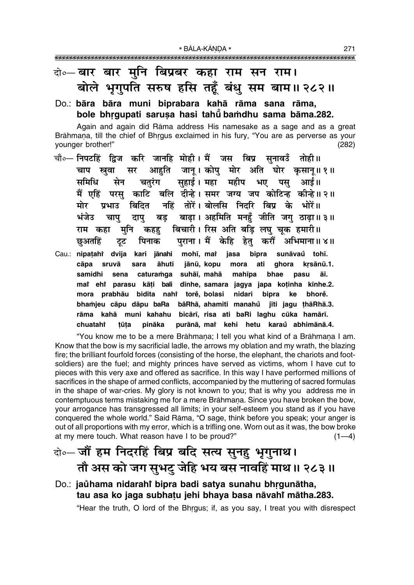### दो∘— बार बार मनि बिप्रबर कहा राम सन राम। बोले भूगुपति सरुष हसि तहूँ बंधु सम बाम॥ २८२॥

#### Do.: bāra bāra muni biprabara kahā rāma sana rāma, bole bhrqupati sarusa hasi tahu bamdhu sama bāma.282.

Again and again did Rāma address His namesake as a sage and as a great Brāhmana, till the chief of Bhrgus exclaimed in his fury, "You are as perverse as your younger brother!"  $(282)$ 

- चौ∘— निपटहिं द्विज करि जानहि मोही। मैं जस बिप्र सनावउँ तोही॥ आहति जान् । कोप् मोर अति घोर कसान् ॥ १ ॥ चाप स्रवा सर समिधि सुहाई । महा महीप भए सेन चतुरंग पस आई॥ मैं एहिं परस काटि बलि दीन्हे। समर जग्य जप कोटिन्ह कीन्हे॥२॥ नहिं तोरें। बोलसि निदरि बिप्र के भोरें॥ मोर प्रभाउ बिदित बड़ बाढ़ा। अहमिति मनहुँ जीति जगु ठाढ़ा॥३॥ भंजेउ चाप दाप बिचारी। रिस अति बड़ि लघु चूक हमारी॥ राम कहा मनि कहह पुराना । मैं केहि हेतु करौं अभिमाना॥४॥ छुअतहिं पिनाक टूट
- Cau.: nipatahi dvija kari jānahi mohī, mai jasa bipra sunāvaů tohī. cāpa sruvā sara āhuti jānū, kopu mora ati qhora krsānū.1. samidhi caturamga suhāī, mahā bhae sena mahīpa pasu āī. mai ehi parasu kāti bali dīnhe, samara jagya japa kotinha kīnhe.2. prabhāu bidita nahi torė, bolasi mora nidari bipra ke bhorě. bhamjeu cāpu dāpu baRa bāRhā, ahamiti manahů jīti jagu thāRhā.3. rāma kahā muni kahahu bicārī, risa ati baRi laghu cūka hamārī. pināka purānā, mai kehi hetu karaŭ abhimānā.4. chuatahi tūta

"You know me to be a mere Brāhmana; I tell you what kind of a Brāhmana I am. Know that the bow is my sacrificial ladle, the arrows my oblation and my wrath, the blazing fire; the brilliant fourfold forces (consisting of the horse, the elephant, the chariots and footsoldiers) are the fuel; and mighty princes have served as victims, whom I have cut to pieces with this very axe and offered as sacrifice. In this way I have performed millions of sacrifices in the shape of armed conflicts, accompanied by the muttering of sacred formulas in the shape of war-cries. My glory is not known to you; that is why you address me in contemptuous terms mistaking me for a mere Brāhmana. Since you have broken the bow, your arrogance has transgressed all limits; in your self-esteem you stand as if you have conquered the whole world." Said Rāma, "O sage, think before you speak; your anger is out of all proportions with my error, which is a trifling one. Worn out as it was, the bow broke at my mere touch. What reason have I to be proud?"  $(1-4)$ 

### बे-जौं हम निदरहिं बिप्र बदि सत्य सुनहु भृगुनाथ। तौ अस को जग सुभटु जेहि भय बस नावहिं माथ॥ २८३॥

#### Do.: jaŭhama nidarahi bipra badi satya sunahu bhrgunātha, tau asa ko jaga subhatu jehi bhaya basa nāvahi mātha.283.

"Hear the truth, O lord of the Bhrgus; if, as you say, I treat you with disrespect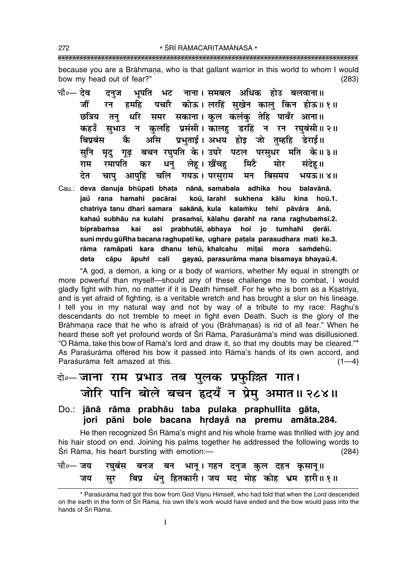272

because you are a Brāhmana, who is that gallant warrior in this world to whom I would bow my head out of fear?"  $(283)$ 

चौ०— देव भपति भट नाना।समबल अधिक होउ बलवाना॥ दनज पचारै कोऊ।लरहिं सुखेन कालु किन होऊ॥१॥ जौं रन हमहि तनु धरि समर सकाना।कुल कलंकु तेहि पावँर आना॥ छत्रिय कहउँ सुभाउ न कुलहि प्रसंसी। कालहु डरहिं न रन रघुबंसी॥२॥ प्रभुताई। अभय होड़ जो तुम्हहि डेराई॥ कै असि बिपबंस मृद् गृढ़ बचन रघुपति के। उघरे पटल परसुधर मति के॥३॥ सूनि लेहू। खैंचहु धनु कर मिटै राम रमापति मोर संदेह ॥ देत चाप आपुहिं चलि गयऊ। परसुराम मन बिसमय भयऊ॥४॥ Cau.: deva danuja bhūpati bhata nānā, samabala adhika hou balavānā. jaů rana hamahi pacārai koū, larahi sukhena kālu kina hoū.1. chatriya tanu dhari samara sakānā, kula kalamku tehi pāvåra ānā. kahaŭ subhāu na kulahi prasamsī, kālahu darahi na rana raghubamsī.2. biprabamsa kai asi prabhutāī, abhaya hoi jo tumhahi derāī. suni mrdu gūRha bacana raghupati ke, ughare patala parasudhara mati ke.3. rāma ramāpati kara dhanu lehū, khaicahu mitai mora samdehū. cāpu āpuhi cali gayaū, parasurāma mana bisamaya bhayaū.4. deta

"A god, a demon, a king or a body of warriors, whether My equal in strength or more powerful than myself-should any of these challenge me to combat, I would gladly fight with him, no matter if it is Death himself. For he who is born as a Ksatriya, and is yet afraid of fighting, is a veritable wretch and has brought a slur on his lineage. I tell you in my natural way and not by way of a tribute to my race: Raghu's descendants do not tremble to meet in fight even Death. Such is the glory of the Brāhmana race that he who is afraid of you (Brāhmanas) is rid of all fear." When he heard these soft yet profound words of Sri Rama, Parasurama's mind was disillusioned. "O Rāma, take this bow of Ramā's lord and draw it, so that my doubts may be cleared."\* As Paraśurāma offered his bow it passed into Rāma's hands of its own accord, and Paraśurāma felt amazed at this.  $(1-4)$ 

### केन्-जाना राम प्रभाउ तब पुलक प्रफुल्लित गात। जोरि पानि बोले बचन हृदयँ न प्रेम् अमात॥ २८४॥

Do.: jānā rāma prabhāu taba pulaka praphullita gāta, jori pāni bole bacana hrdayă na premu amāta.284.

He then recognized Srī Rāma's might and his whole frame was thrilled with joy and his hair stood on end. Joining his palms together he addressed the following words to Śrī Rāma, his heart bursting with emotion:- $(284)$ 

| चौ०— जय  रघुबंस  बनज  बन  भानू । गहन  दनुज  कुल  दहन  कृसानू॥ |  |                                                       |  |  |  |
|---------------------------------------------------------------|--|-------------------------------------------------------|--|--|--|
|                                                               |  | जय सुर बिप्र धेनु हितकारी। जय मद मोह कोह भ्रम हारी॥१॥ |  |  |  |

<sup>\*</sup> Paraśurāma had got this bow from God Vișņu Himself, who had told that when the Lord descended on the earth in the form of Sri Rama, his own life's work would have ended and the bow would pass into the hands of Sri Rama.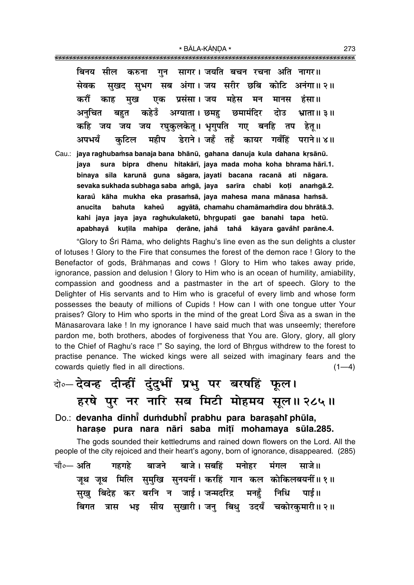गन सागर। जयति बचन रचना अति नागर॥ बिनय सील करुना सुखद सुभग सब अंगा। जय सरीर छबि कोटि अनंगा॥२॥ सेवक एक प्रसंसा। जय महेस करौं मख काह मन मानस हंसा॥ कहेउँ अग्याता । छमह छमामंदिर अनचित बहुत दोउ भ्राता ॥ ३ ॥ कहि जय जय जय रघकलकेत् । भगपति गए बनहि तप हेत् ॥ डेराने। जहँ तहँ कायर गवँहिं पराने॥४॥ अपभयँ महीप कटिल

Cau.: jaya raghubamsa banaja bana bhānū, gahana danuja kula dahana krsānū. sura bipra dhenu hitakārī, jaya mada moha koha bhrama hārī.1. java binaya sīla karunā guna sāgara, jayati bacana racanā ati nāgara. sevaka sukhada subhaga saba amgā, jaya sarīra chabi koti anamgā.2. karaŭ kāha mukha eka prasamsā, jaya mahesa mana mānasa hamsā. bahuta kaheů agyātā, chamahu chamāmamdira dou bhrātā.3. anucita kahi jaya jaya jaya raghukulaketū, bhrgupati gae banahi tapa hetū. apabhayå kutila mahīpa derāne, jahå tahå kāyara gavåhî parāne.4.

"Glory to Srī Rāma, who delights Raghu's line even as the sun delights a cluster of lotuses! Glory to the Fire that consumes the forest of the demon race! Glory to the Benefactor of gods, Brāhmanas and cows ! Glory to Him who takes away pride, ignorance, passion and delusion ! Glory to Him who is an ocean of humility, amiability, compassion and goodness and a pastmaster in the art of speech. Glory to the Delighter of His servants and to Him who is graceful of every limb and whose form possesses the beauty of millions of Cupids ! How can I with one tongue utter Your praises? Glory to Him who sports in the mind of the great Lord Siva as a swan in the Mānasarovara lake ! In my ignorance I have said much that was unseemly; therefore pardon me, both brothers, abodes of forgiveness that You are. Glory, glory, all glory to the Chief of Raghu's race !" So saying, the lord of Bhrgus withdrew to the forest to practise penance. The wicked kings were all seized with imaginary fears and the cowards quietly fled in all directions.  $(1-4)$ 

## बे-देवन्ह दीन्हीं दुंदुभीं प्रभु पर बरषहिं फूल। हरषे पुर नर नारि सब मिटी मोहमय सुल॥ २८५॥

Do.: devanha dīnhi dumdubhi prabhu para barasahi phūla, harase pura nara nāri saba mitī mohamaya sūla.285.

The gods sounded their kettledrums and rained down flowers on the Lord. All the people of the city rejoiced and their heart's agony, born of ignorance, disappeared. (285)

चौ०— अति बाजने बाजे।सबहिं मनोहर मंगल गहगहे साजे॥ जुथ जुथ मिलि सुमुखि सुनयनीं। करहिं गान कल कोकिलबयनीं॥१॥ सुखु बिदेह कर बरनि न जाई।जन्मदरिद्र मनहँ निधि पाई ॥ बिगत त्रास भइ सीय सुखारी।जन् बिधु उदयँ चकोरकुमारी॥२॥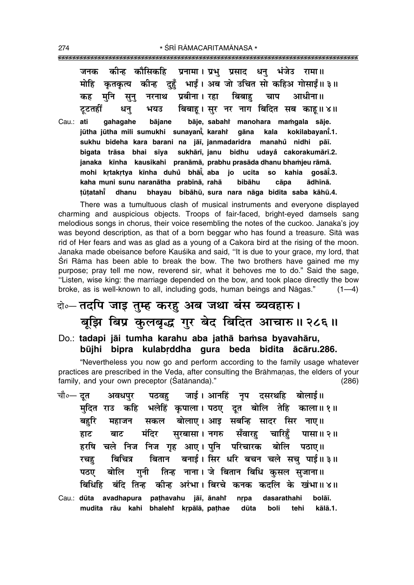\* ŚRĪ RĀMACARITAMĀNASA \* 

कीन्ह कौसिकहि प्रनामा। प्रभु प्रसाद धन् भंजेउ रामा॥ जनक कतकत्य कीन्ह दहँ भाईं। अब जो उचित सो कहिअ गोसाईं॥३॥ मोहि प्रबीना । रहा बिबाह मनि चाप आधीना॥ कह सून् नरनाथ बिबाह। सर नर नाग बिदित सब काह॥४॥ टटतहीं भयउ धन bāje, sabahi manohara mamgala sāje. Cau.: ati qahaqahe bāiane jūtha jūtha mili sumukhi sunayani̇̃, karahi gāna kala kokilabavani.1. sukhu bideha kara barani na jāī, janmadaridra manahů nidhi pāī. bigata trāsa bhai sīya sukhārī, janu bidhu udayå cakorakumārī.2. janaka kīnha kausikahi pranāmā, prabhu prasāda dhanu bhamjeu rāmā. mohi krtakrtya kīnha duhů bhāi, aba jo ucita **SO** kahia qosāĩ.3. kaha muni sunu naranātha prabīnā, rahā bibāhu ādhīnā. cāpa tūtatahī dhanu bhayau bibāhū, sura nara nāga bidita saba kāhū.4.

There was a tumultuous clash of musical instruments and everyone displayed charming and auspicious objects. Troops of fair-faced, bright-eyed damsels sang melodious songs in chorus, their voice resembling the notes of the cuckoo. Janaka's joy was beyond description, as that of a born beggar who has found a treasure. Sita was rid of Her fears and was as glad as a young of a Cakora bird at the rising of the moon. Janaka made obeisance before Kauśika and said, "It is due to your grace, my lord, that Śrī Rāma has been able to break the bow. The two brothers have gained me my purpose; pray tell me now, reverend sir, what it behoves me to do." Said the sage, "Listen, wise king: the marriage depended on the bow, and took place directly the bow broke, as is well-known to all, including gods, human beings and Nāgas."  $(1-4)$ 

## वे॰– तदपि जाइ तुम्ह करहु अब जथा बंस ब्यवहारु। बूझि बिप्र कुलबृद्ध गुर बेद बिदित आचारु॥ २८६॥

Do.: tadapi jāi tumha karahu aba jathā bamsa byavahāru, būjhi bipra kulabrddha qura beda bidita ācāru.286.

"Nevertheless you now go and perform according to the family usage whatever practices are prescribed in the Veda, after consulting the Brāhmanas, the elders of your family, and your own preceptor (Satananda)."  $(286)$ 

- जाई। आनहिं नप दसरथहि बोलाई॥ चौ∘— दत पठवह अवधपर मुदित राउ कहि भलेहिं कृपाला। पठए दूत बोलि तेहि काला॥१॥ सकल बोलाए। आइ सबन्हि सादर सिर नाए॥ बहरि महाजन मंदिर सुरबासा।नगरु सँवारह चारिहँ पासा॥२॥ बाट हाट हरषि चले निज निज गृह आए। पनि परिचारक बोलि पठाए॥ बिचित्र बितान बनाई। सिर धरि बचन चले सचु पाई॥ ३॥ रचह तिन्ह नाना। जे बितान बिधि कसल सजाना॥ गनी बोलि पठए बिधिहि बंदि तिन्ह कीन्ह अरंभा। बिरचे कनक कदलि के खंभा॥४॥
- Cau.: dūta avadhapura pathavahu jāī, ānahř nrpa dasarathahi bolāī. mudita rāu kahi bhalehi krpālā, pathae dūta boli tehi kālā.1.

274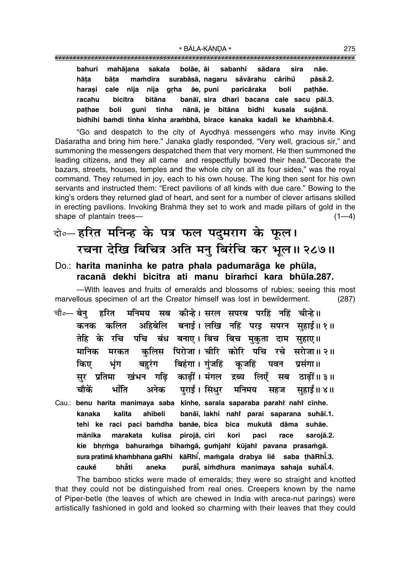bahuri mahājana sakala bolāe, āi sabanhi sādara sira nāe. hāta bāta mamdira surabāsā, nagaru såvārahu cārihů pāsā.2. cale niia arha āe, puni harasi niia paricāraka boli pathāe. bicitra bitāna racahu banāi, sira dhari bacana cale sacu pāī.3. pathae boli aunī tinha nānā, ie bitāna bidhi kusala suiānā. bidhihi bamdi tinha kīnha arambhā, birace kanaka kadali ke khambhā.4.

"Go and despatch to the city of Ayodhya messengers who may invite King Daśaratha and bring him here." Janaka gladly responded, "Very well, gracious sir," and summoning the messengers despatched them that very moment. He then summoned the leading citizens, and they all came and respectfully bowed their head. "Decorate the bazars, streets, houses, temples and the whole city on all its four sides," was the royal command. They returned in joy, each to his own house. The king then sent for his own servants and instructed them: "Erect pavilions of all kinds with due care." Bowing to the king's orders they returned glad of heart, and sent for a number of clever artisans skilled in erecting pavilions. Invoking Brahma they set to work and made pillars of gold in the shape of plantain trees- $(1-4)$ 

### बे॰ हरित मनिन्ह के पत्र फल पदुमराग के फूल। रचना देखि बिचित्र अति मनु बिरंचि कर भूल॥ २८७॥

#### Do.: harita maninha ke patra phala padumarāga ke phūla, racanā dekhi bicitra ati manu biramci kara bhūla.287.

-With leaves and fruits of emeralds and blossoms of rubies; seeing this most marvellous specimen of art the Creator himself was lost in bewilderment.  $(287)$ 

- मनिमय सब कीन्हे। सरल सपरब परहिं नहिं चीन्हे।। चौ∘— बेन हरित अहिबेलि बनाई।लखि नहिं परइ सपरन सहाई॥१॥ कनक कलित पचि बंध बनाए। बिच बिच मुकुता दाम सुहाए॥ तेहि के रचि कलिस पिरोजा। चीरि कोरि पचि रचे सरोजा॥२॥ मानिक मरकत किए भंग बिहंगा । गंजहिं बहरंग कजहिं पवन प्रसंगा॥ खंभन गढि काढीं। मंगल द्रब्य लिएँ सर प्रतिमा सब ठाढीं॥३॥ चौकें भाँति पराईं । सिंधर मनिमय अनेक सहाईं॥ ४॥ सहज
- Cau.: benu harita manimaya saba kinhe, sarala saparaba parahi nahi cinhe. kalita banāi, lakhi nahi parai saparana suhāi.1. kanaka ahibeli tehi ke raci paci bamdha banāe bica bica mukutā dāma suhāe. mānika marakata kulisa pirojā, cīri kori paci race sarojā.2. kie bhrmga bahuramga bihamgā, gumjahi kūjahi pavana prasamgā. sura pratimā khambhana gaRhi kāRhī, mamgala drabya lie saba thāRhī.3. bhẳti purāi, simdhura manimaya sahaja suhāi.4. cauke aneka

The bamboo sticks were made of emeralds; they were so straight and knotted that they could not be distinguished from real ones. Creepers known by the name of Piper-betle (the leaves of which are chewed in India with areca-nut parings) were artistically fashioned in gold and looked so charming with their leaves that they could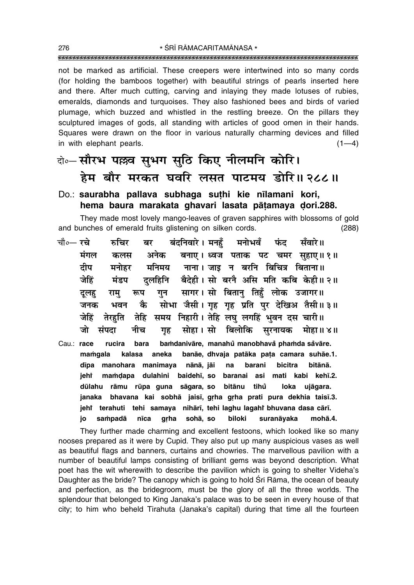not be marked as artificial. These creepers were intertwined into so many cords (for holding the bamboos together) with beautiful strings of pearls inserted here and there. After much cutting, carving and inlaying they made lotuses of rubies, emeralds, diamonds and turquoises. They also fashioned bees and birds of varied plumage, which buzzed and whistled in the restling breeze. On the pillars they sculptured images of gods, all standing with articles of good omen in their hands. Squares were drawn on the floor in various naturally charming devices and filled in with elephant pearls.  $(1-4)$ 

### बे॰ सौरभ पल्लव सुभग सुठि किए नीलमनि कोरि। हेम बौर मरकत घवरि लसत पाटमय डोरि॥ २८८॥

#### Do.: saurabha pallava subhaga suthi kie nīlamani kori, hema baura marakata ghavari lasata pātamaya dori.288.

They made most lovely mango-leaves of graven sapphires with blossoms of gold and bunches of emerald fruits glistening on silken cords.  $(288)$ 

- मनोभवँ चौ०— रचे बंदनिवारे । मनहँ रुचिर बर फंद सँवारे ॥ मंगल अनेक बनाए। ध्वज पताक पट चमर सहाए॥१॥ कलस दीप मनिमय नाना। जाड़ न बरनि बिचित्र बिताना॥ मनोहर जेहिं दलहिनि बैदेही। सो बरनै असि मति कबि केही॥२॥ मंडप सागर। सो बितान तिहूँ लोक उजागर॥ गन राम रूप दलह सोभा जैसी। गृह गृह प्रति पर देखिअ तैसी॥३॥ कै जनक भवन समय निहारी। तेहि लघ लगहिं भवन दस चारी॥ जेहिं तेरहति तेहि सोहा । सो बिलोकि सरनायक मोहा॥४॥ जो संपदा नीच गह
- bamdanivāre, manahů manobhavå phamda såvāre. Cau.: race rucira bara mamqala kalasa aneka banāe, dhvaja patāka pata camara suhāe.1. dīpa manohara manimaya nānā, jāi  $na$ barani bicitra bitānā. mamdapa dulahini baidehī, so mati kabi kehī.2. jeht baranai asi dūlahu rāmu rūpa guna sāgara, so bitānu tihů loka ujāgara. bhavana kai sobhā jaisī, grha grha prati pura dekhia taisī.3. janaka jehi terahuti tehi samaya nihārī, tehi laghu lagahi bhuvana dasa cārī. sampadā nīca grha sohā, so biloki suranāyaka mohā.4. jo

They further made charming and excellent festoons, which looked like so many nooses prepared as it were by Cupid. They also put up many auspicious vases as well as beautiful flags and banners, curtains and chowries. The marvellous pavilion with a number of beautiful lamps consisting of brilliant gems was beyond description. What poet has the wit wherewith to describe the pavilion which is going to shelter Videha's Daughter as the bride? The canopy which is going to hold Sri Rama, the ocean of beauty and perfection, as the bridegroom, must be the glory of all the three worlds. The splendour that belonged to King Janaka's palace was to be seen in every house of that city; to him who beheld Tirahuta (Janaka's capital) during that time all the fourteen

276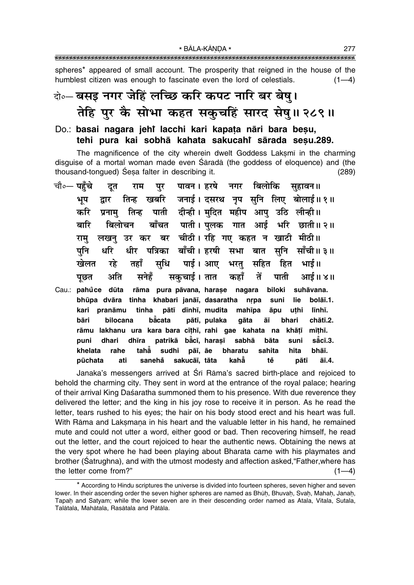spheres\* appeared of small account. The prosperity that reigned in the house of the humblest citizen was enough to fascinate even the lord of celestials.  $(1-4)$ 

## के-बसइ नगर जेहिं लच्छि करि कपट नारि बर बेषु। तेहि पुर कै सोभा कहत सकुचहिं सारद सेषु॥ २८९॥

#### Do.: basai nagara jehi lacchi kari kapata nāri bara besu, tehi pura kai sobhā kahata sakucahi sārada sesu.289.

The magnificence of the city wherein dwelt Goddess Laksmi in the charming disquise of a mortal woman made even Śāradā (the goddess of eloguence) and (the thousand-tongued) Sesa falter in describing it.  $(289)$ 

|              |          | चौ∘— पहुँचे दूत राम पुर पावन। हरषे नगर बिलोकि सुहावन॥              |  |  |       |          |
|--------------|----------|--------------------------------------------------------------------|--|--|-------|----------|
| भूप          |          | द्वार तिन्ह खबरि जनाई। दसरथ नृप सुनि लिए बोलाई॥१॥                  |  |  |       |          |
| करि          |          | प्रनामु तिन्ह पाती दीन्ही। मुदित महीप आपु उठि लीन्ही॥              |  |  |       |          |
| बारि         |          | ्बिलोचन बाँचत पाती। पुलक गात आई भरि छाती॥ २॥                       |  |  |       |          |
|              |          | रामु लखनु उर कर बर चीठी। रहि गए कहत न खाटी मीठी॥                   |  |  |       |          |
|              |          | पुनि धरि धीर पत्रिका बाँची।इरषी सभा बात सुनि साँची॥३॥              |  |  |       |          |
|              |          | खेलत रहे तहाँ सुधि पाई।आए भरतु सहित हित भाई॥                       |  |  |       |          |
|              |          | पूछत अति सनेहँ सकुचाई।तात कहाँ तें पाती आई॥४॥                      |  |  |       |          |
|              |          | Cau.: pahůce dūta rāma pura pāvana, harașe nagara biloki suhāvana. |  |  |       |          |
|              |          | bhūpa dvāra tinha khabari janāī, dasaratha nrpa suni               |  |  | lie   | bolāī.1. |
| kari         |          | pranāmu tinha pātī dīnhī, mudita mahīpa āpu uthi                   |  |  |       | līnhī.   |
| bāri         | bilocana | bācata pātī, pulaka gāta āī                                        |  |  | bhari | chātī.2. |
| rāmu         |          | lakhanu ura kara bara cīthī, rahi gae kahata na khāṭī              |  |  |       | mīthī.   |
| puni         |          | dhari dhīra patrikā bācī, harasī sabhā bāta suni sācī.3.           |  |  |       |          |
| khelata rahe |          | tahă sudhi pāī, āe bharatu sahita                                  |  |  | hita  | bhāī.    |
|              |          | pūchata ati sanehå sakucāī, tāta kahā  tě  pātī āī.4.              |  |  |       |          |

Janaka's messengers arrived at Srī Rāma's sacred birth-place and rejoiced to behold the charming city. They sent in word at the entrance of the royal palace; hearing of their arrival King Daśaratha summoned them to his presence. With due reverence they delivered the letter; and the king in his joy rose to receive it in person. As he read the letter, tears rushed to his eyes; the hair on his body stood erect and his heart was full. With Rama and Laksmana in his heart and the valuable letter in his hand, he remained mute and could not utter a word, either good or bad. Then recovering himself, he read out the letter, and the court rejoiced to hear the authentic news. Obtaining the news at the very spot where he had been playing about Bharata came with his playmates and brother (Satrughna), and with the utmost modesty and affection asked, "Father, where has the letter come from?"  $(1-4)$ 

<sup>\*</sup> According to Hindu scriptures the universe is divided into fourteen spheres, seven higher and seven lower. In their ascending order the seven higher spheres are named as Bhūh, Bhuvah, Svah, Mahah, Janah, Tapah and Satyam; while the lower seven are in their descending order named as Atala, Vitala, Sutala, Talātala, Mahātala, Rasātala and Pātāla.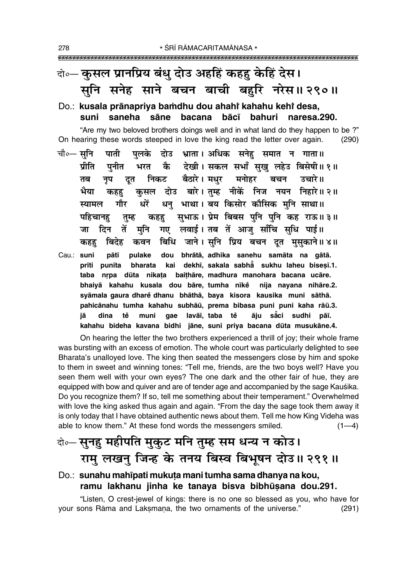### वे०— कुसल प्रानप्रिय बंधु दोउ अहहिं कहहु केहिं देस। सनि सनेह साने बचन बाची बहुरि नरेस॥ २९०॥

#### Do.: kusala prānapriya bamdhu dou ahahi kahahu kehi desa, suni saneha sāne bacana bācī bahuri naresa.290.

"Are my two beloved brothers doings well and in what land do they happen to be?" On hearing these words steeped in love the king read the letter over again.  $(290)$ 

- चौ०— सनि पाती पलके दोउ भ्राता।अधिक सनेह समात न गाता॥ भरत कै देखी। सकल सभाँ सुखु लहेउ बिसेषी॥१॥ प्रीति पनीत नृप दूत निकट बैठारे।मधुर मनोहर बचन उचारे॥ तब कहहु कुसल दोउ बारे।तुम्ह नीकें निज नयन निहारे॥२॥ भैया धन् भाथा। बय किसोर कौसिक मुनि साथा॥ गौर धरें स्यामल कहहु सुभाऊ। प्रेम बिबस पुनि पुनि कह राऊ॥३॥ पहिचानह तुम्ह गए लवाई। तब तें आज साँचि सधि पाई॥ जा दिन तें मनि कहह बिदेह कवन बिधि जाने।सुनि प्रिय बचन दूत मुसुकाने॥४॥
- dou bhrātā, adhika sanehu samāta na gātā. Cau.: suni pātī pulake prīti punīta bharata kai dekhī, sakala sabhā sukhu laheu bisesī.1. taba nrpa dūta nikata baithāre, madhura manohara bacana ucāre. bhaiyā kahahu kusala dou bāre, tumha nīke nija nayana nihāre.2. syāmala gaura dhare dhanu bhāthā, baya kisora kausika muni sāthā. pahicānahu tumha kahahu subhāū, prema bibasa puni puni kaha rāū.3. tě gae lavāī, taba tě āju sāci sudhi pāī. jā dina muni kahahu bideha kavana bidhi jāne, suni priya bacana dūta musukāne.4.

On hearing the letter the two brothers experienced a thrill of joy; their whole frame was bursting with an excess of emotion. The whole court was particularly delighted to see Bharata's unalloyed love. The king then seated the messengers close by him and spoke to them in sweet and winning tones: "Tell me, friends, are the two boys well? Have you seen them well with your own eyes? The one dark and the other fair of hue, they are equipped with bow and quiver and are of tender age and accompanied by the sage Kausika. Do you recognize them? If so, tell me something about their temperament." Overwhelmed with love the king asked thus again and again. "From the day the sage took them away it is only today that I have obtained authentic news about them. Tell me how King Videha was able to know them." At these fond words the messengers smiled.  $(1-4)$ 

### वे०-सुनहु महीपति मुकुट मनि तुम्ह सम धन्य न कोउ। रामु लखनु जिन्ह के तनय बिस्व बिभूषन दोउ॥ २९१॥

#### Do.: sunahu mahipati mukuta mani tumha sama dhanya na kou, ramu lakhanu jinha ke tanaya bisva bibhūsana dou.291.

"Listen, O crest-jewel of kings: there is no one so blessed as you, who have for your sons Rāma and Laksmana, the two ornaments of the universe."  $(291)$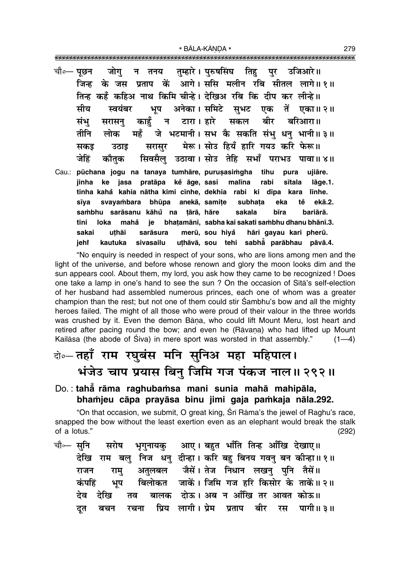|       | चौ०— पूछन जोगु न तनय तुम्हारे। पुरुषसिंघ तिहु पुर उजिआरे॥                                                                       |
|-------|---------------------------------------------------------------------------------------------------------------------------------|
|       | जिन्ह के जस प्रताप कें आगे।ससि मलीन रबि सीतल लागे॥१॥                                                                            |
|       | तिन्ह कहँ कहिअ नाथ किमि चीन्हे। देखिअ रबि कि दीप कर लीन्हे ।।                                                                   |
|       | सीय स्वयंबर भूप अनेका।समिटे सुभट एक तें एका॥२॥                                                                                  |
|       | संभु सरासनु काहुँ न टारा। हारे सकल बीर बरिआरा॥                                                                                  |
|       | तीनि लोक महँ जे भटमानी। सभ कै सकति संभु धनु भानी॥३॥                                                                             |
|       | सकइ उठाइ सरासुर मेरू। सोउ हियँ हारि गयउ करि फेरू॥                                                                               |
|       | जेहिं कौतुक सिवसैलु उठावा।सोउ तेहि सभाँ पराभउ पावा॥४॥                                                                           |
| Cau.: | pūchana jogu na tanaya tumhāre, purusasimgha tihu pura ujiāre.<br>jinha ke jasa pratāpa kĕ āge, sasi malīna rabi sītala lāge.1. |
|       | tinha kahå kahia nātha kimi cīnhe, dekhia rabi ki dīpa kara līnhe.                                                              |
|       | sīya svayambara bhūpa anekā, samite subhata eka tĕ ekā.2.                                                                       |
|       | sambhu sarāsanu kāhů na țārā, hāre sakala bīra bariārā.                                                                         |
|       | tīni loka mahā je bhaṭamānī, sabha kai sakati sambhu dhanu bhānī.3.                                                             |
|       | uțhāi sarāsura merū, sou hiyå hāri gayau kari pherū.<br>sakai                                                                   |
|       | kautuka sivasailu uthāvā, sou tehi sabhā parābhau pāvā.4.<br>jeh†                                                               |

"No enguiry is needed in respect of your sons, who are lions among men and the light of the universe, and before whose renown and glory the moon looks dim and the sun appears cool. About them, my lord, you ask how they came to be recognized ! Does one take a lamp in one's hand to see the sun? On the occasion of Sita's self-election of her husband had assembled numerous princes, each one of whom was a greater champion than the rest; but not one of them could stir Sambhu's bow and all the mighty heroes failed. The might of all those who were proud of their valour in the three worlds was crushed by it. Even the demon Bāna, who could lift Mount Meru, lost heart and retired after pacing round the bow; and even he (Rāvaṇa) who had lifted up Mount Kailasa (the abode of Siva) in mere sport was worsted in that assembly."  $(1-4)$ 

### के-तहाँ राम रघुबंस मनि सुनिअ महा महिपाल। भंजेउ चाप प्रयास बिनु जिमि गज पंकज नाल॥ २९२॥

### Do.: taha rāma raghubamsa mani sunia mahā mahipāla, bhamjeu cāpa prayāsa binu jimi gaja pamkaja nāla.292.

"On that occasion, we submit, O great king, Śrī Rāma's the jewel of Raghu's race, snapped the bow without the least exertion even as an elephant would break the stalk of a lotus."  $(292)$ 

आए । बहुत भाँति तिन्ह आँखि देखाए॥ चौ⊶ सृनि सरोष भूगुनायकु देखि राम बलु निज धनु दीन्हा। करि बहु बिनय गवनु बन कीन्हा॥१॥ अतुलबल जैसें। तेज निधान लखनु पुनि तैसें॥ राजन राम् बिलोकत जाकें। जिमि गज हरि किसोर के ताकें॥२॥ कंपहिं भूप बालक दोऊ। अब न आँखि तर आवत कोऊ॥ देव देखि तव प्रिय लागी। प्रेम बीर पागी ॥ ३ ॥ बचन रचना प्रताप रस दत

279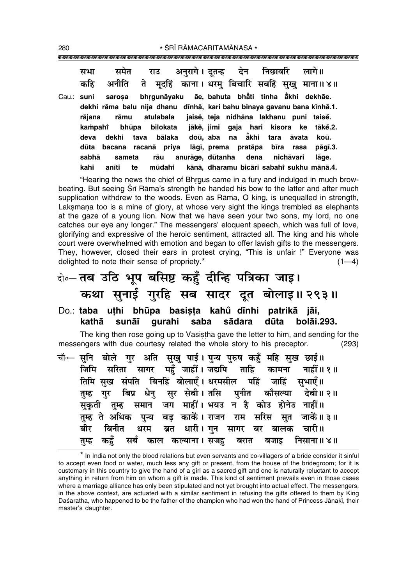समेत अनरागे। दूतन्ह देन निछावरि लागे॥ सभा राउ मदहिं काना। धरम बिचारि सबहिं सुखु माना॥४॥ अनीति कहि ते Cau.: suni sarosa bhraunāvaku āe. bahuta bhåti tinha åkhi dekhāe. dekhi rāma balu nija dhanu dīnhā, kari bahu binaya gavanu bana kīnhā.1. jaisė, teja nidhāna lakhanu puni taisė. rājana rāmu atulabala kampahi bhūpa bilokata jākė, jimi gaja hari kisora ke tākė.2. bālaka deva doū, aba na ẵkhi koū. dekhi tava tara āvata dūta lāgī, prema pratāpa bacana racana priva bīra rasa pāqī.3. sabhā anurāge. dūtanha dena nichāvari lāge. sameta rāu kānā, dharamu bicāri sabahi sukhu mānā.4. kahi anīti te mūdahi

"Hearing the news the chief of Bhrgus came in a fury and indulged in much browbeating. But seeing Srī Rāma's strength he handed his bow to the latter and after much supplication withdrew to the woods. Even as Rāma, O king, is unequalled in strength, Laksmana too is a mine of glory, at whose very sight the kings trembled as elephants at the gaze of a young lion. Now that we have seen your two sons, my lord, no one catches our eye any longer." The messengers' eloquent speech, which was full of love, glorifying and expressive of the heroic sentiment, attracted all. The king and his whole court were overwhelmed with emotion and began to offer lavish gifts to the messengers. They, however, closed their ears in protest crying, "This is unfair !" Everyone was delighted to note their sense of propriety.\*  $(1-4)$ 

- वे॰ तब उठि भूप बसिष्ट कहँ दीन्हि पत्रिका जाइ। कथा सुनाई गुरहि सब सादर दूत बोलाइ॥ २९३॥
- Do.: taba uthi bhūpa basista kahů dīnhi patrikā jāi, kathā qurahi saba sādara dūta bolāi.293. sunāī

The king then rose going up to Vasistha gave the letter to him, and sending for the messengers with due courtesy related the whole story to his preceptor.  $(293)$ 

| चौ⊶ सुनि  बोले  गुर  अति  सुखु  पाई । पुन्य  पुरुष  कहुँ  महि  सुख  छाई॥ |
|--------------------------------------------------------------------------|
| जिमि सरिता सागर महुँ जाहीँ।जद्यपि ताहि कामना नाहीँ॥१॥                    |
| तिमि सुख संपति बिनहिं बोलाएँ। धरमसील पहिं जाहिं सुभाएँ॥                  |
| तुम्ह गुर बिप्र धेनु सुर सेबी।तसि पुनीत कौसल्या देबी॥२॥                  |
| सुकृती तुम्ह समान जग माहीं। भयउ न है कोउ होनेउ नाहीं॥                    |
| तुम्ह ते अधिक पुन्य बड़ काकें। राजन राम सरिस सुत जाकें॥३॥                |
| बीर बिनीत धरम ब्रत धारी।गुन सागर बर बालक चारी॥                           |
| तुम्ह कहुँ सर्ब काल कल्याना। सजहु बरात बजाइ निसाना॥४॥                    |

\* In India not only the blood relations but even servants and co-villagers of a bride consider it sinful to accept even food or water, much less any gift or present, from the house of the bridegroom; for it is customary in this country to give the hand of a girl as a sacred gift and one is naturally reluctant to accept anything in return from him on whom a gift is made. This kind of sentiment prevails even in those cases where a marriage alliance has only been stipulated and not yet brought into actual effect. The messengers, in the above context, are actuated with a similar sentiment in refusing the gifts offered to them by King Daśaratha, who happened to be the father of the champion who had won the hand of Princess Jānakī, their master's daughter.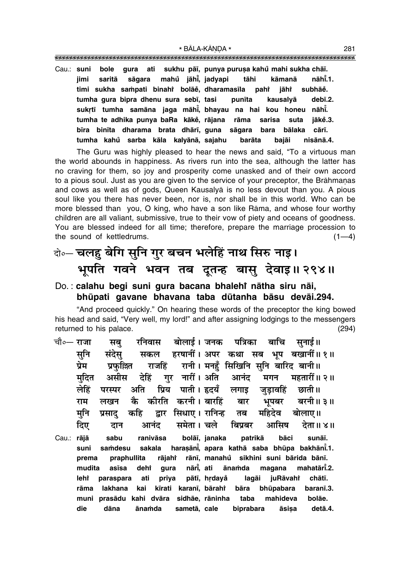""""""""""""""""""""""""""""""""""""""""""""""""""""""""""""""""""""""""""""""""""" \* BÅLA-KŰNœA \* <sup>281</sup>

Cau.: **suni bole gura ati sukhu på∂, punya puru¶a kahu mahi sukha chå∂. ° jimi saritå sågara mahu° jåh∂° , jadyapi tåhi kåmanå nåh∂° .1. timi sukha sa≈pati binahiÚ bolåe°, dharamas∂la pahiÚ pahi i**āhi  **subhåe°. tumha gura bipra dhenu sura seb∂, tasi pun∂ta kausalyå deb∂.2. sukæt∂ tumha samåna jaga måh∂° , bhayau na hai kou honeu nåh∂° . tumha te adhika punya baRa kåke°, råjana råma sarisa suta jåke° .3. b∂ra bin∂ta dharama brata dhår∂, guna sågara bara bålaka cår∂. tumha kahu sarba kåla ° kalyånå, sajahu baråta bajåi nisånå.4.**

The Guru was highly pleased to hear the news and said, "To a virtuous man the world abounds in happiness. As rivers run into the sea, although the latter has no craving for them, so joy and prosperity come unasked and of their own accord to a pious soul. Just as you are given to the service of your preceptor, the Brāhmanas and cows as well as of gods, Queen Kausalyå is no less devout than you. A pious soul like you there has never been, nor is, nor shall be in this world. Who can be more blessed than you, O king, who have a son like Råma, and whose four worthy children are all valiant, submissive, true to their vow of piety and oceans of goodness. You are blessed indeed for all time; therefore, prepare the marriage procession to the sound of kettledrums.  $(1-4)$ 

### दो**०– चलहु बेगि सुनि गुर बचन भलेहिं नाथ सिरु नाइ।** भूपति गवने भवन तब दूतन्ह बासु देवाइ॥२९४॥

#### Do. : **calahu begi suni gura bacana bhalehiÚ nåtha siru nåi, bhµupati gavane bhavana taba dµutanha båsu devåi.294.**

"And proceed quickly." On hearing these words of the preceptor the king bowed his head and said, "Very well, my lord!" and after assigning lodgings to the messengers returned to his palace. (294)

<sub>ऱ्चौ०</sub>— राजा सब रनिवास बोलाई । जनक पत्रिका बाचि सनाई॥ सनि संदेस सकल हरषानीं। अपर कथा सब भप बखानीं॥ १॥ <u>प्रेम प्रफल्लि राजहिं रानी । मनहँ सिखिनि सनि बारिद बानी॥</u> <u>मदित असीस देहिं गर नारीं। अति आनंद मगन महतारीं॥२॥</u> लेहिं परस्पर अति प्रिय पाती। हृदयँ लगाइ जडावहिं छाती॥ **राम लखन कै कीरति करनी।**बारहिं बार भुपबर बरनी॥३॥ <u>म</u>नि प्रसाद कहि द्वार सिधाए। रानिन्ह तब महिदेव बोलाए॥ **दिए दान आनंद समेता।** चले बिप्रबर आसिष देता॥४॥ Cau.: **råjå sabu ranivåsa bolå∂, janaka patrikå båci sunå∂. suni sa≈desu sakala hara¶ån∂° , apara kathå saba bhµupa bakhån∂° .1. prema praphullita råjahiÚ rån∂, manahu sikhini suni bårida bån∂. ° mudita as∂sa dehiÚ gura når∂° , ati åna≈da magana mahatår∂° .2. lehiÚ paraspara ati priya påt∂, hædaya° lagåi juRåvahiÚ chåt∂. råma lakhana kai k∂rati karan∂, bårahiÚ** bāra bhūpabara baranī.3. **muni prasådu kahi dvåra sidhåe, råninha taba mahideva bolåe. die dāna ānamda sametā,** cale biprabara āsisa detā.4.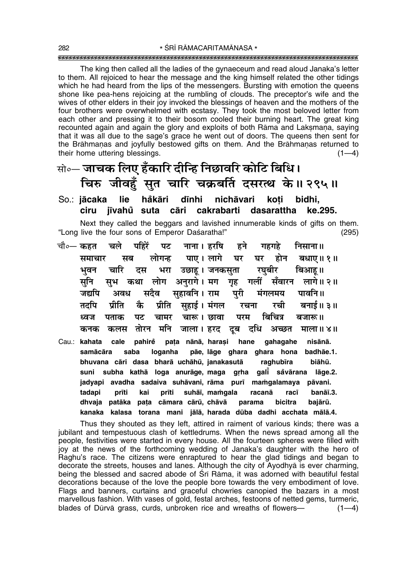The king then called all the ladies of the gynaeceum and read aloud Janaka's letter to them. All rejoiced to hear the message and the king himself related the other tidings which he had heard from the lips of the messengers. Bursting with emotion the queens shone like pea-hens rejoicing at the rumbling of clouds. The preceptor's wife and the wives of other elders in their joy invoked the blessings of heaven and the mothers of the four brothers were overwhelmed with ecstasy. They took the most beloved letter from each other and pressing it to their bosom cooled their burning heart. The great king recounted again and again the glory and exploits of both Rāma and Laksmana, saying that it was all due to the sage's grace he went out of doors. The queens then sent for the Brāhmanas and joyfully bestowed gifts on them. And the Brāhmanas returned to their home uttering blessings.  $(1-4)$ 

### सो∘— जाचक लिए हँकारि दीन्हि निछावरि कोटि बिधि। चिरु जीवहँ सुत चारि चक्रबर्ति दसरत्थ के॥ २९५॥

lie håkāri dīnhi nichāvari koti So.: jācaka bidhi. ciru jīvahů suta cāri cakrabarti dasarattha ke.295. Next they called the beggars and lavished innumerable kinds of gifts on them.

"Long live the four sons of Emperor Daśaratha!"  $(295)$ 

- चौ०— कहत चले पहिरें नाना । हरषि पट हने गहगहे निसाना ॥ पाए। लागे घर समाचार सब लोगन्ह घर होन बधाए। १॥ भरा उछाहू । जनकसुता भवन चारि रघबीर बिआह ॥ दस सनि सभ कथा लोग अनुरागे।मग गृह गलीं सँवारन लागे॥२॥ सहावनि । राम जद्यपि अवध सदैव परी मंगलमय पावनि ॥ प्रीति कै प्रीति सहाई । मंगल बनाई॥ ३॥ तर्दाप रचना रची बिचित्र ध्वज पताक पट चामर चारू । छावा परम बजारू ॥ तोरन मनि जाला। हरद दूब दधि अच्छत कनक कलस माला ॥ ४॥
- Cau.: kahata cale pahirě pata nānā, harasi hane qahaqahe nisānā. saba loganha pãe, lãge ghara ghara hona badhãe.1. samācāra bhuvana cāri dasa bharā uchāhū, janakasutā raghubīra biāhū. subha kathā loga anurāge, maga grha galī såvārana lāge.2. suni jadyapi avadha sadaiva suhāvani, rāma purī mamgalamaya pāvani. prīti tadapi suhāī, mamgala kai prīti racanā racī banāī.3. dhvaja patāka pata cāmara cārū, chāvā parama bicitra baiārū. kanaka kalasa torana mani jālā, harada dūba dadhi acchata mālā.4.

Thus they shouted as they left, attired in raiment of various kinds; there was a jubilant and tempestuous clash of kettledrums. When the news spread among all the people, festivities were started in every house. All the fourteen spheres were filled with joy at the news of the forthcoming wedding of Janaka's daughter with the hero of Raghu's race. The citizens were enraptured to hear the glad tidings and began to decorate the streets, houses and lanes. Although the city of Ayodhya is ever charming, being the blessed and sacred abode of Sri Rama, it was adorned with beautiful festal decorations because of the love the people bore towards the very embodiment of love. Flags and banners, curtains and graceful chowries canopied the bazars in a most marvellous fashion. With vases of gold, festal arches, festoons of netted gems, turmeric, blades of Dūrvā grass, curds, unbroken rice and wreaths of flowers- $(1-4)$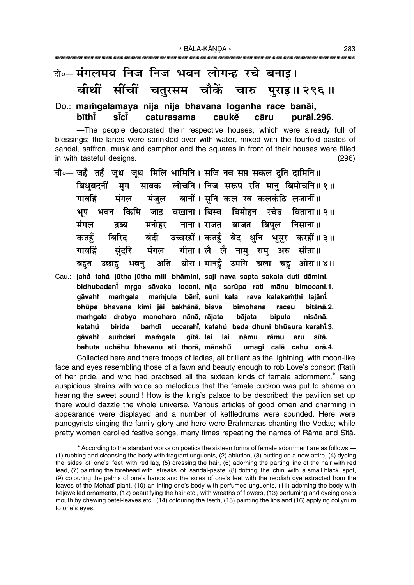### के-मंगलमय निज निज भवन लोगन्ह रचे बनाइ। बीथीं सींचीं चतुरसम चौकें चारु पुराइ॥ २९६॥

#### Do.: mamgalamaya nija nija bhavana loganha race banāi, bīthī sī̃cī caturasama cauke cāru purāi.296.

-The people decorated their respective houses, which were already full of blessings; the lanes were sprinkled over with water, mixed with the fourfold pastes of sandal, saffron, musk and camphor and the squares in front of their houses were filled in with tasteful designs.  $(296)$ 

- चौ०— जहँतहँजूथ जूथ मिलि भामिनि। सजि नव सप्त सकल दुति दामिनि॥ बिधुबदनीं मृग सावक लोचनि। निज सरूप रति मान् बिमोचनि॥१॥ मंजल बानीं। सनि कल रव कलकंठि लजानीं॥ गावहिं मंगल भूप भवन किमि जाइ बखाना।।बिस्व बिमोहन रचेउ बिताना॥२॥ मंगल मनोहर नाना । राजत बाजत बिपल निसाना ॥ द्रव्य बंदी उच्चरहीं । कतहुँ बेद धनि भूसर करहीं॥३॥ कतहँ बिरिट मंगल गीता। लै लै नामु रामु गावहिं संदरि अरु सीता॥ अति थोरा। मानहँ उमगि चला चह ओरा॥४॥ बहुत उछाह भवन
- Cau.: jahå tahå jūtha jūtha mili bhāmini, saji nava sapta sakala duti dāmini. bidhubadani mrga sāvaka locani, nija sarūpa rati mānu bimocani.1. mamjula bāni, suni kala mamgala rava kalakamthi lajāni. gāvaht bhūpa bhavana kimi jāi bakhānā, bisva bimohana raceu bitānā 2. mamgala drabya manohara nānā, rājata bipula nisānā. bājata katahů birida uccarahi. katahů beda dhuni bhūsura karahi.3. bamdī sumdari mamqala gītā, lai lai nāmu rāmu aru aāvahi sītā. umagi calā cahu orā.4. bahuta uchāhu bhavanu ati thorā, mānahů

Collected here and there troops of ladies, all brilliant as the lightning, with moon-like face and eyes resembling those of a fawn and beauty enough to rob Love's consort (Rati) of her pride, and who had practised all the sixteen kinds of female adornment,\* sang auspicious strains with voice so melodious that the female cuckoo was put to shame on hearing the sweet sound! How is the king's palace to be described; the pavilion set up there would dazzle the whole universe. Various articles of good omen and charming in appearance were displayed and a number of kettledrums were sounded. Here were panegyrists singing the family glory and here were Brāhmanas chanting the Vedas; while pretty women carolled festive songs, many times repeating the names of Rāma and Sītā.

<sup>\*</sup> According to the standard works on poetics the sixteen forms of female adornment are as follows:-(1) rubbing and cleansing the body with fragrant unguents, (2) ablution, (3) putting on a new attire, (4) dyeing the sides of one's feet with red lag, (5) dressing the hair, (6) adorning the parting line of the hair with red lead, (7) painting the forehead with streaks of sandal-paste, (8) dotting the chin with a small black spot, (9) colouring the palms of one's hands and the soles of one's feet with the reddish dye extracted from the leaves of the Mehadī plant, (10) an inting one's body with perfumed unguents, (11) adorning the body with bejewelled ornaments, (12) beautifying the hair etc., with wreaths of flowers, (13) perfuming and dyeing one's mouth by chewing betel-leaves etc., (14) colouring the teeth, (15) painting the lips and (16) applying collyrium to one's eyes.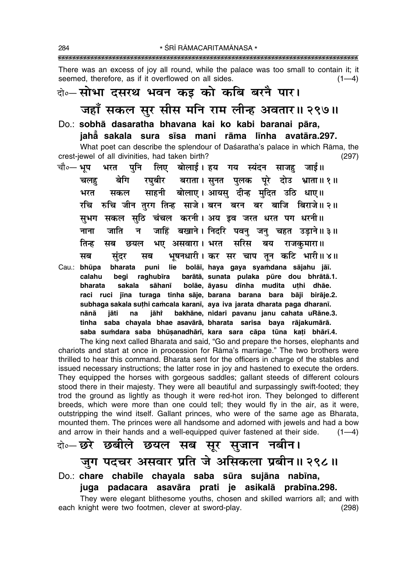There was an excess of joy all round, while the palace was too small to contain it; it seemed, therefore, as if it overflowed on all sides.  $(1-4)$ 

### वे. सोभा दसरथ भवन कइ को कबि बरनै पार।

## जहाँ सकल सुर सीस मनि राम लीन्ह अवतार॥ २९७॥

- Do.: sobhā dasaratha bhavana kai ko kabi baranai pāra. jahā sakala sura sīsa mani rāma līnha avatāra.297. What poet can describe the splendour of Daśaratha's palace in which Rāma, the crest-jewel of all divinities, had taken birth?  $(297)$
- पुनि लिए बोलाई।इय गय स्यंदन साजह जाई॥ चौ०— भूप भरत रघुबीर बराता।सुनत पुलक पूरे दोउ भ्राता॥१॥ चलह बेगि साहनी बोलाए। आयस दीन्ह मदित उठि धाए॥ भरत सकल रचि रुचि जीन तुरग तिन्ह साजे। बरन बरन बर बाजि बिराजे॥२॥ सभग सकल सठि चंचल करनी। अय इव जरत धरत पग धरनी॥ जाहिं बखाने। निदरि पवन् जन् चहत उड़ाने॥३॥ नाना जाति न भए असवारा। भरत सरिस तिन्ह सब छयल बय राजकमारा॥ भूषनधारी। कर सर चाप तून कटि भारी॥४॥ मब संदर सब bharata puni lie bolāi, haya gaya syamdana sājahu jāi. Cau.: **bhūpa** barātā, sunata pulaka pūre dou bhrātā.1. calahu beai raghubīra bolāe, āyasu dīnha mudita uthi dhāe. bharata sakala sāhanī
- raci ruci jīna turaga tinha sāje, barana barana bara bāji birāje.2. subhaga sakala suthi camcala karani, aya iya jarata dharata paga dharani. bakhāne, nidari pavanu janu cahata uRāne.3. nānā iāti na iāht tinha saba chayala bhae asavārā, bharata sarisa baya rājakumārā. saba sumdara saba bhūṣanadhārī, kara sara cāpa tūna kaṭi bhārī.4.

The king next called Bharata and said, "Go and prepare the horses, elephants and chariots and start at once in procession for Rama's marriage." The two brothers were thrilled to hear this command. Bharata sent for the officers in charge of the stables and issued necessary instructions; the latter rose in joy and hastened to execute the orders. They equipped the horses with gorgeous saddles; gallant steeds of different colours stood there in their majesty. They were all beautiful and surpassingly swift-footed; they trod the ground as lightly as though it were red-hot iron. They belonged to different breeds, which were more than one could tell; they would fly in the air, as it were, outstripping the wind itself. Gallant princes, who were of the same age as Bharata, mounted them. The princes were all handsome and adorned with jewels and had a bow and arrow in their hands and a well-equipped quiver fastened at their side.  $(1-4)$ 

# के-छरे छबीले छयल सब सूर सुजान नबीन।

### जुग पदचर असवार प्रति जे असिकला प्रबीन॥ २९८॥

### Do.: chare chabīle chayala saba sūra sujāna nabīna, juga padacara asavāra prati je asikalā prabīna.298.

They were elegant blithesome youths, chosen and skilled warriors all; and with each knight were two footmen, clever at sword-play.  $(298)$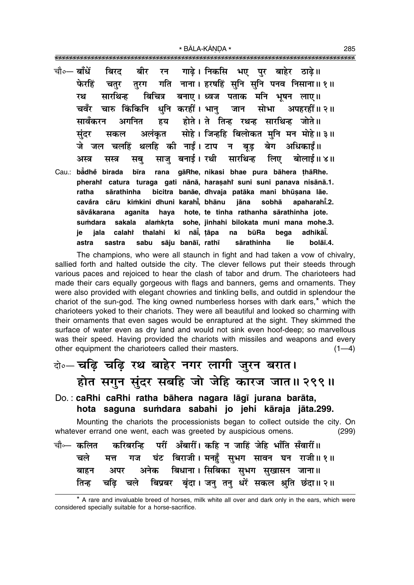|    | चौ∘— बाँधें बिरद बीर रन गाढ़े।निकसि भए पुर बाहेर ठाढ़े॥                                                                           |  |  |  |  |  |
|----|-----------------------------------------------------------------------------------------------------------------------------------|--|--|--|--|--|
|    | फेरहिं चतुर तुरग गति नाना । हरषहिं सुनि सुनि पनव निसाना ॥ १ ॥                                                                     |  |  |  |  |  |
| रथ | सारथिन्ह बिचित्र बनाए। ध्वज पताक मनि भूषन लाए॥                                                                                    |  |  |  |  |  |
|    | चवँर चारु किंकिनि धुनि करहीं। भानु  जान  सोभा  अपहरहीं॥२॥                                                                         |  |  |  |  |  |
|    | सावँकरन अगनित हय होते । ते तिन्ह रथन्ह सारथिन्ह जोते ॥                                                                            |  |  |  |  |  |
|    | सुंदर सकल अलंकृत सोहे। जिन्हहि बिलोकत मुनि मन मोहे॥३॥                                                                             |  |  |  |  |  |
|    | जे जल चलहिं थलहि की नाईं। टाप न बूड़ बेग अधिकाईं॥                                                                                 |  |  |  |  |  |
|    | अस्त्र सस्त्र सबु साजुबनाई।रथी सारथिन्ह लिए बोलाई॥४॥                                                                              |  |  |  |  |  |
|    | Cau.: bådhe birada bīra rana gāRhe, nikasi bhae pura bāhera thāRhe.                                                               |  |  |  |  |  |
|    | pherahi catura turaga gati nānā, harasahi suni suni panava nisānā.1.                                                              |  |  |  |  |  |
|    | ratha sārathinha bicitra banāe, dhvaja patāka mani bhūṣana lāe.<br>cavăra cāru kimkini dhuni karahī bhānu liāna sobhā apaharahī.2 |  |  |  |  |  |

sāvåkarana aganita haya hote, te tinha rathanha sārathinha jote. sakala alamkrta sohe, jinhahi bilokata muni mana mohe.3. sumdara adhikāi. calahî thalahi kī nāi, tāpa būRa na bega ie jala sabu sāju banāī, rathī bolāī.4. astra sastra sārathinha lie

The champions, who were all staunch in fight and had taken a vow of chivalry, sallied forth and halted outside the city. The clever fellows put their steeds through various paces and rejoiced to hear the clash of tabor and drum. The charioteers had made their cars equally gorgeous with flags and banners, gems and ornaments. They were also provided with elegant chowries and tinkling bells, and outdid in splendour the chariot of the sun-god. The king owned numberless horses with dark ears,<sup>\*</sup> which the charioteers yoked to their chariots. They were all beautiful and looked so charming with their ornaments that even sages would be enraptured at the sight. They skimmed the surface of water even as dry land and would not sink even hoof-deep; so marvellous was their speed. Having provided the chariots with missiles and weapons and every other equipment the charioteers called their masters.  $(1-4)$ 

#### बे-चंदि चढ़ि रथ बाहेर नगर लागी जुरन बरात। होत सगुन सुंदर सबहि जो जेहि कारज जात॥ २९९॥ Do.: caRhi caRhi ratha bāhera nagara lāgī jurana barāta, hota saguna sumdara sabahi jo jehi kāraja jāta.299. Mounting the chariots the processionists began to collect outside the city. On whatever errand one went, each was greeted by auspicious omens.  $(299)$ परीं अँबारीं। कहि न जाहिं जेहि भाँति सँवारीं॥ चौ⊶ कलित करिबरन्हि घंट बिराजी। मनहुँ सुभग सावन घन राजी॥१॥ चले गज मत्त अनेक बिधाना। सिबिका सुभग सुखासन जाना॥ बाहन अपर बिप्रबर बृंदा। जनु तनु धरें सकल श्रुति छंदा॥२॥ तिन्ह चढि चले

<sup>\*</sup> A rare and invaluable breed of horses, milk white all over and dark only in the ears, which were considered specially suitable for a horse-sacrifice.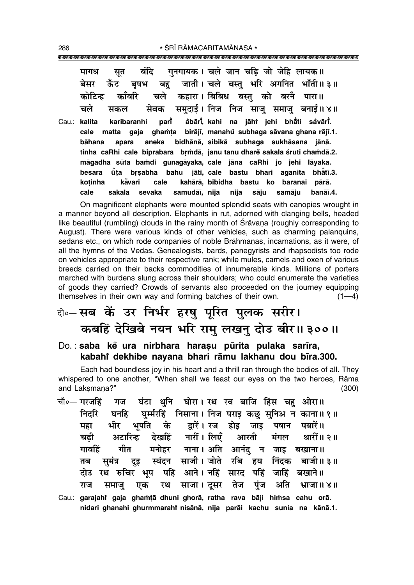|       | सूत बंदि गुनगायक। चले जान चढ़ि जो जेहि लायक॥<br>मागध                     |
|-------|--------------------------------------------------------------------------|
|       | बेसर ऊँट बृषभ बहु जाती। चले बस्तु भरि अगनित भाँती॥३॥                     |
|       | कोटिन्ह काँवरि चले कहारा।।बिबिध बस्तु को बरनै पारा॥                      |
|       | सकल सेवक समुदाई। निज निज साजु समाजु बनाई॥४॥<br>चले                       |
| Cau.: | karibaranhi pari åbāri, kahi na jāhi jehi bhāti såvāri.<br>kalita        |
|       | cale matta gaja ghamta birājī, manahu subhaga sāvana ghana rājī.1.       |
|       | bāhana apara aneka bidhānā, sibikā subhaga sukhāsana jānā.               |
|       | tinha caRhi cale biprabara brmdā, janu tanu dhare sakala śruti chamdā.2. |
|       | māgadha sūta bamdi gunagāyaka, cale jāna caRhi jo jehi lāyaka.           |
|       | besara ū̃ța brṣabha bahu jātī, cale bastu bhari aganita bhātī.3.         |
|       | kavari cale kahārā, bibidha bastu ko baranai pārā.<br>kotinha            |
|       | sakala sevaka samudāi, nija nija sāju samāju<br>banāī.4.<br>cale         |

On magnificent elephants were mounted splendid seats with canopies wrought in a manner beyond all description. Elephants in rut, adorned with clanging bells, headed like beautiful (rumbling) clouds in the rainy month of Srāvana (roughly corresponding to August). There were various kinds of other vehicles, such as charming palanguins, sedans etc., on which rode companies of noble Brāhmanas, incarnations, as it were, of all the hymns of the Vedas. Genealogists, bards, panegyrists and rhapsodists too rode on vehicles appropriate to their respective rank; while mules, camels and oxen of various breeds carried on their backs commodities of innumerable kinds. Millions of porters marched with burdens slung across their shoulders; who could enumerate the varieties of goods they carried? Crowds of servants also proceeded on the journey equipping themselves in their own way and forming batches of their own.  $(1-4)$ 

### के-सब कें उर निर्भर हरषु पूरित पुलक सरीर। कबहिं देखिबे नयन भरि रामु लखनु दोउ बीर॥३००॥

Do.: saba ke ura nirbhara harașu pūrita pulaka sarīra, kabahi dekhibe nayana bhari rāmu lakhanu dou bīra.300.

Each had boundless joy in his heart and a thrill ran through the bodies of all. They whispered to one another, "When shall we feast our eyes on the two heroes, Rāma and Laksmana?"  $(300)$ 

- चौ∘— गरजहिं गज घंटा धनि घोरा। रथ रव बाजि हिंस चह ओरा॥ घनहि घुर्म्मरहिं निसाना। निज पराइ कछु सुनिअ न काना॥१॥ निदरि भीर भूपति के द्वारें। रज होइ जाइ पषान पबारें॥ महा अटारिन्ह देखहिं नारीं।लिएँ आरती मंगल थारीं॥ २॥ चढी मनोहर नाना। अति आनंद न जाइ बखाना॥ गीत गावहिं दुइ स्यंदन साजी।जोते रबि हय निंदक बाजी॥३॥ तब समंत्र दोउ रथ रुचिर भूष पहिं आने। नहिं सारद पहिं जाहिं बखाने॥ रथ साजा। दुसर तेज अति राज समाज एक पंज भ्राजा ॥ ४॥
- Cau.: garajahi gaja ghamțā dhuni ghorā, ratha rava bāji himsa cahu orā. nidari ghanahi ghurmmarahi nisānā, nija parāi kachu sunia na kānā.1.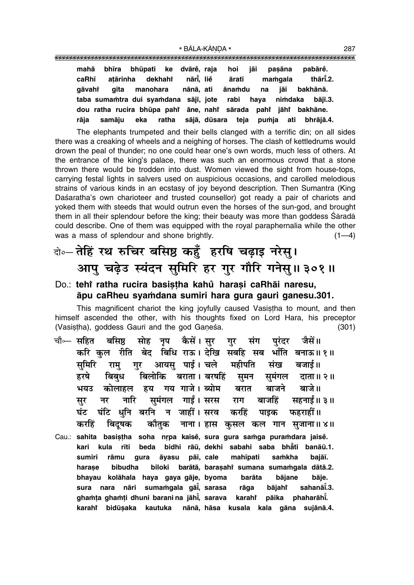|       | mahā bhīra bhūpati ke dvāre, raja hoi jāi pasāna        |                                  |  |  |  | pabārĕ.                                                         |
|-------|---------------------------------------------------------|----------------------------------|--|--|--|-----------------------------------------------------------------|
| caRhī |                                                         | atārinha dekhahi nārī, lie āratī |  |  |  | mamgala thārī.2.                                                |
|       |                                                         |                                  |  |  |  | gāvahi gīta manohara nānā, ati ānamdu na jāi bakhānā.           |
|       | taba sumamtra dui syamdana sājī, jote rabi haya nimdaka |                                  |  |  |  | bāiī.3.                                                         |
|       |                                                         |                                  |  |  |  | dou ratha rucira bhūpa pahi āne, nahi sārada pahi jāhi bakhāne. |
| rāja  |                                                         |                                  |  |  |  | samāju eka ratha sājā, dūsara teja puṁja ati bhrājā.4.          |

The elephants trumpeted and their bells clanged with a terrific din; on all sides there was a creaking of wheels and a neighing of horses. The clash of kettledrums would drown the peal of thunder; no one could hear one's own words, much less of others. At the entrance of the king's palace, there was such an enormous crowd that a stone thrown there would be trodden into dust. Women viewed the sight from house-tops, carrying festal lights in salvers used on auspicious occasions, and carolled melodious strains of various kinds in an ecstasy of joy beyond description. Then Sumantra (King Daśaratha's own charioteer and trusted counsellor) got ready a pair of chariots and yoked them with steeds that would outrun even the horses of the sun-god, and brought them in all their splendour before the king; their beauty was more than goddess Sāradā could describe. One of them was equipped with the royal paraphernalia while the other was a mass of splendour and shone brightly.  $(1-4)$ 

### बे-तेहिं रथ रुचिर बसिष्ठ कहँ हरषि चढ़ाइ नरेस् । आप चढेउ स्यंदन समिरि हर गुर गौरि गनेसु॥३०१॥

#### Do.: tehi ratha rucira basistha kahů harasi caRhāi naresu, āpu caRheu syamdana sumiri hara gura gauri ganesu.301.

This magnificent chariot the king joyfully caused Vasistha to mount, and then himself ascended the other, with his thoughts fixed on Lord Hara, his preceptor (Vasistha), goddess Gaurī and the god Ganesa.  $(301)$ 

- सोह नृप कैसें।सुर गुर संग चौ⊶ सहित बसिष्ठ परंदर जैसें॥ करि कुल रीति बेद बिधि राऊ। देखि सबहि सब भाँति बनाऊ॥१॥ समिरि राम् गर आयस् पाई।चले महीपति संख बजाई॥ बिलोकि बराता। बरषहिं समन समंगल दाता॥२॥ हरषे बिबध हय गय गाजे। ब्योम बरात बाजने बाजे ॥ कोलाहल भयंत समंगल गाईं। सरस नारि बाजहिं सहनाईं॥ ३॥ नर राग सर घंटि धनि बरनि न जाहीं। सरव करहिं घंट पाइक फहराहीं।। नाना। हास कुसल कल गान सुजाना॥४॥ करहिं बिदषक कौतक
- Cau.: sahita basistha soha nrpa kaisě, sura gura samga puramdara jaisě. kari kula rīti beda bidhi rāū, dekhi sabahi saba bhāti banāū.1. samkha sumiri pāī, cale mahīpati bajāī. rāmu gura āyasu bibudha biloki barātā, baraṣahi sumana sumamgala dātā.2. harase bhayau kolāhala haya qaya qāje, byoma barāta bājane bāie. nāri sumamgala gāi, sarasa rāga bājahr sahanāī.3. sura nara ghamța ghamți dhuni barani na jāhi, sarava karahi pāika phaharāhi. karahi bidūsaka kautuka nānā hāsa kusala kala gāna sujānā.4.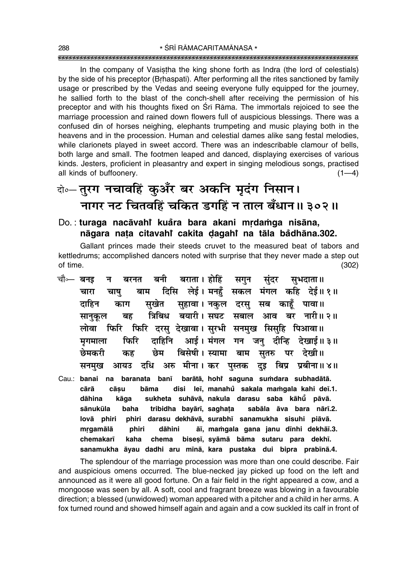In the company of Vasistha the king shone forth as Indra (the lord of celestials) by the side of his preceptor (Brhaspati). After performing all the rites sanctioned by family usage or prescribed by the Vedas and seeing everyone fully equipped for the journey, he sallied forth to the blast of the conch-shell after receiving the permission of his preceptor and with his thoughts fixed on Srī Rāma. The immortals rejoiced to see the marriage procession and rained down flowers full of auspicious blessings. There was a confused din of horses neighing, elephants trumpeting and music playing both in the heavens and in the procession. Human and celestial dames alike sang festal melodies, while clarionets played in sweet accord. There was an indescribable clamour of bells, both large and small. The footmen leaped and danced, displaying exercises of various kinds. Jesters, proficient in pleasantry and expert in singing melodious songs, practised all kinds of buffoonery.  $(1-4)$ 

## दो**०– तुरग नचावहिं कुअँर बर अकनि मृदंग निसान।** <u>नागर नट चितवहिं चकित डगहिं न ताल बँधान॥ ३०२॥</u>

### Do. : **turaga nacåvahiÚ kua°ra bara akani mæda≈ga nisåna, någara na¢a citavahiÚ cakita ŒagahiÚ na tåla ba°dhåna.302.**

Gallant princes made their steeds cruvet to the measured beat of tabors and kettledrums; accomplished dancers noted with surprise that they never made a step out of time. (302)

- चौ⊶ बनइ न बरनत बनी बराता। होहिं सगुन सुंदर सुभदाता॥ खारा चाषु बाम दिसि लेई।मनहँ सकल मंगल कहि देई॥१॥ दाहिन काग सुखेत सुहावा। नकुल दरस् सब काहँ पावा॥ सानुकूल बह त्रिबिध बयारी। सघट सबाल आव बर नारी॥ २॥ लोवा फिरि फिरि दरस देखावा।सरभी सनमख सिसहि पिआवा॥ <u>मृगमाला फिरि दाहिनि आई।संगल गन जनु दीन्हि देखाई॥३॥</u> <u>छेमकरी कह छेम बिसेषी।स्यामा बाम सुतरु पर देखी॥</u> सनमख आयउ दधि अरु मीना।कर पस्तक दइ बिप्र प्रबीना॥४॥
- Cau.: **banai na baranata ban∂ baråtå, hohiÚ** barātā, hohi saguna sumdara subhadātā. **cårå cå¶u båma disi le∂, manahu sakala ma≈gala kahi de∂.1. ° dåhina kåga sukheta suhåvå, nakula darasu saba kåhµu° påvå. sånukµula baha tribidha bayår∂, sagha¢a sabåla åva bara når∂.2. lovå phiri phiri darasu dekhåvå, surabh∂ sanamukha sisuhi piåvå.** mrgamālā phiri dāhini āī, mamgala gana janu dīnhi dekhāī.3. chemakarī kaha chema biseṣī, syāmā bāma sutaru para dekhī. **sanamukha åyau dadhi aru m∂nå, kara pustaka dui bipra prab∂nå.4.**

The splendour of the marriage procession was more than one could describe. Fair and auspicious omens occurred. The blue-necked jay picked up food on the left and announced as it were all good fortune. On a fair field in the right appeared a cow, and a mongoose was seen by all. A soft, cool and fragrant breeze was blowing in a favourable direction; a blessed (unwidowed) woman appeared with a pitcher and a child in her arms. A fox turned round and showed himself again and again and a cow suckled its calf in front of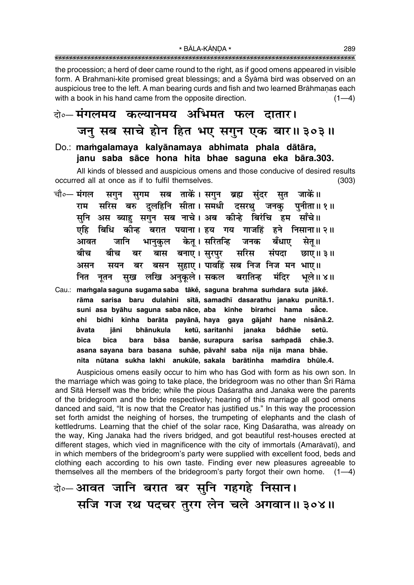the procession; a herd of deer came round to the right, as if good omens appeared in visible form. A Brahmani-kite promised great blessings; and a Śvāmā bird was observed on an auspicious tree to the left. A man bearing curds and fish and two learned Brāhmanas each with a book in his hand came from the opposite direction.  $(1-4)$ 

### वे॰– मंगलमय कल्यानमय अभिमत फल दातार। जनु सब साचे होन हित भए सगुन एक बार॥३०३॥

#### Do.: mamgalamaya kalyānamaya abhimata phala dātāra, janu saba sāce hona hita bhae saguna eka bāra.303.

All kinds of blessed and auspicious omens and those conducive of desired results occurred all at once as if to fulfil themselves.  $(303)$ 

- चौ०— मंगल सगुन सुगम सब ताकें।सगुन ब्रह्म जाकें।। संदर सूत सरिस बरु दलहिनि सीता।समधी दसरथ जनक राम पनीता॥ १॥ सुनि अस ब्याहु सगुन सब नाचे। अब कीन्हे बिरंचि हम साँचे॥ बिधि कीन्ह बरात पयाना। हय गय गाजहिं हने निसाना॥२॥ एहि केत। सरितन्ति आवत जानि जनक बँधाए भानकल सेत॥ सरिस ਕੀਚ बीच बास बनाए। सुरपुर संपदा छाए ॥ ३ ॥ बर बसन सुहाए। पावहिं सब निज निज मन भाए॥ असन सयन बर सुख लखि अनुकूले। सकल बरातिन्ह मंदिर नित भले॥ ४॥ नुतन
- Cau.: mamgala saguna sugama saba tākē, saguna brahma sumdara suta jākē. sarisa baru dulahini sītā, samadhī dasarathu janaku punītā.1. rāma suni asa byāhu saguna saba nāce, aba kīnhe biramci hama såce. ehi bidhi kīnha barāta payānā, haya gaya gājahi hane nisānā.2. āvata jāni hhānukula ketū, saritanhi janaka bådhāe setū bīca bīca bara bāsa banāe, surapura sarisa sampadā chāe.3. asana sayana bara basana suhāe, pāvahi saba nija nija mana bhāe. nita nūtana sukha lakhi anukūle, sakala barātinha mamdira bhūle.4.

Auspicious omens easily occur to him who has God with form as his own son. In the marriage which was going to take place, the bridegroom was no other than Srī Rāma and Sita Herself was the bride; while the pious Daśaratha and Janaka were the parents of the bridegroom and the bride respectively; hearing of this marriage all good omens danced and said, "It is now that the Creator has justified us." In this way the procession set forth amidst the neighing of horses, the trumpeting of elephants and the clash of kettledrums. Learning that the chief of the solar race, King Daśaratha, was already on the way, King Janaka had the rivers bridged, and got beautiful rest-houses erected at different stages, which vied in magnificence with the city of immortals (Amarāvatī), and in which members of the bridegroom's party were supplied with excellent food, beds and clothing each according to his own taste. Finding ever new pleasures agreeable to themselves all the members of the bridegroom's party forgot their own home.  $(1-4)$ 

बेञ्-आवत जानि बरात बर सुनि गहगहे निसान। सजि गज रथ पदचर तुरग लेन चले अगवान॥३०४॥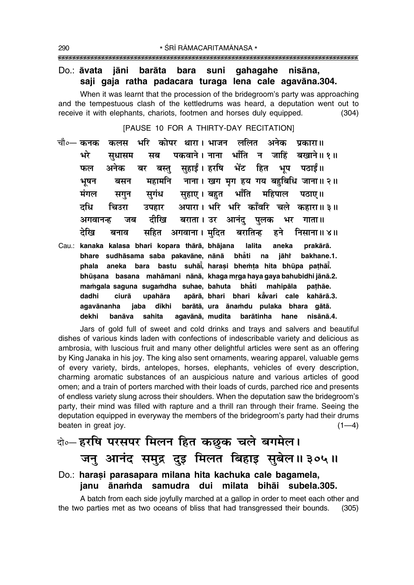#### Do.: āvata jāni barāta bara suni gahagahe nisāna, saji gaja ratha padacara turaga lena cale agavāna.304.

When it was learnt that the procession of the bridegroom's party was approaching and the tempestuous clash of the kettledrums was heard, a deputation went out to receive it with elephants, chariots, footmen and horses duly equipped.  $(304)$ 

[PAUSE 10 FOR A THIRTY-DAY RECITATION]

- कोपर थारा। भाजन ललित अनेक चौ∘— कनक भरि कलस पकारा॥ भरे पकवाने । नाना भाँति न जाहिं बखाने॥ १॥ मब सधासम सहाईं। हरषि भेंट हित भूप फल अनेक बर बस्त पठाईं।। महामनि नाना। खग मृग हय गय बहुबिधि जाना॥ २॥ भूषन बसन मंगल सहाए। बहुत भाँति महिपाल सगंध पठाए।। सगन दधि अपारा। भरि भरि काँवरि चले कहारा॥३॥ चिउरा उपहार दीखि बराता । उर आनंद पुलक अगवानन्ह भर जब गाता ॥ तेरिव सहित अगवाना। मुदित बरातिन्ह निसाना ॥ ४ ॥ बनाव हने
- Cau.: kanaka kalasa bhari kopara thārā, bhājana lalita aneka prakārā. bhare sudhāsama saba pakavāne, nānā bhăti na jāhř bakhane.1. phala aneka bara bastu suhāi, harasi bhemta hita bhūpa pathāi. bhūsana basana mahāmani nānā, khaga mrga haya gaya bahubidhi jānā.2. mamgala saguna sugamdha suhae, bahuta bhẳti mahipāla pathãe. apārā, bhari bhari kāvari cale dadhi ciurā upahāra kahārā.3. agavānanha dīkhi barātā, ura ānamdu pulaka bhara gātā. iaba dekhi sahita agavānā, mudita barātinha hane nisānā.4. banāva

Jars of gold full of sweet and cold drinks and trays and salvers and beautiful dishes of various kinds laden with confections of indescribable variety and delicious as ambrosia, with luscious fruit and many other delightful articles were sent as an offering by King Janaka in his joy. The king also sent ornaments, wearing apparel, valuable gems of every variety, birds, antelopes, horses, elephants, vehicles of every description, charming aromatic substances of an auspicious nature and various articles of good omen; and a train of porters marched with their loads of curds, parched rice and presents of endless variety slung across their shoulders. When the deputation saw the bridegroom's party, their mind was filled with rapture and a thrill ran through their frame. Seeing the deputation equipped in everyway the members of the bridegroom's party had their drums beaten in great joy.  $(1-4)$ 

### के-हरषि परसपर मिलन हित कछूक चले बगमेल। जनु आनंद समुद्र दुइ मिलत बिहाइ सुबेल॥३०५॥

#### Do.: harasi parasapara milana hita kachuka cale bagamela, janu ānamda samudra dui milata bihāi subela.305.

A batch from each side joyfully marched at a gallop in order to meet each other and the two parties met as two oceans of bliss that had transgressed their bounds.  $(305)$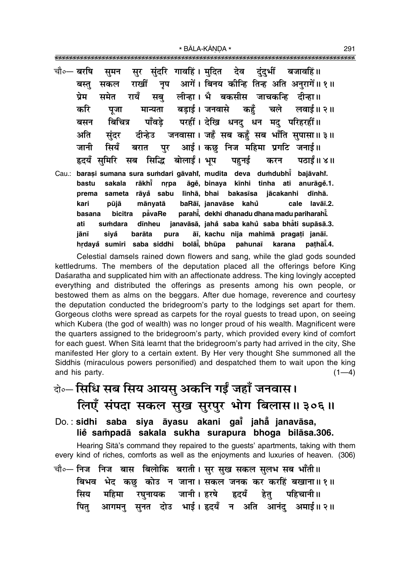| चौ∘— बरषि | सुमन सुर सुंदरि गावहिं। मुदित  देव दुंदुभीं  बजावहिं॥               |  |
|-----------|---------------------------------------------------------------------|--|
|           | सकल राखीं नृप आगें। बिनय कीन्हि तिन्ह अति अनुरागें॥१॥<br>बस्तु      |  |
|           | समेत रायँ सबु लीन्हा। भै बकसीस जाचकन्हि दीन्हा॥<br>प्रेम            |  |
|           | पूजा मान्यता बड़ाई।जनवासे कहुँ चले लवाई॥२॥<br>करि                   |  |
|           | बिचित्र पाँवड़े परहीं। देखि धनदु धन मदु परिहरहीं॥<br>बसन            |  |
|           | सुंदर दीन्हेउ जनवासा। जहँ सब कहुँ सब भाँति सुपासा॥३॥<br>अति         |  |
|           | जानी सियँ बरात पुर आई। कछु निज महिमा प्रगटि जनाई॥                   |  |
|           | हृदयँ सुमिरि सब सिद्धि बोलाईं। भूप  पहुनई  करन  पठाईं॥ ४॥           |  |
| Cau.:     | barași sumana sura sumdari gāvahi, mudita deva dumdubhi bajāvahi.   |  |
|           | sakala rākhi nrpa āgě, binaya kīnhi tinha ati anurāgě.1.<br>bastu   |  |
|           | sameta rāyå sabu līnhā, bhai bakasīsa jācakanhi dīnhā.<br>prema     |  |
|           | pūjā mānyatā baRāī, janavāse kahů<br>cale lavāī.2.<br>kari          |  |
|           | basana bicitra påvaRe parahi, dekhi dhanadu dhana madu pariharahi.  |  |
|           | sumdara dīnheu janavāsā, jaha saba kahu saba bhāti supāsā.3.<br>ati |  |
|           | siyå<br>barāta pura āī, kachu nija mahimā pragați janāī.<br>jānī    |  |
|           | hrdayå sumiri saba siddhi bolāi, bhūpa pahunaī karana pathāi.4.     |  |

Celestial damsels rained down flowers and sang, while the glad gods sounded kettledrums. The members of the deputation placed all the offerings before King Daśaratha and supplicated him with an affectionate address. The king lovingly accepted everything and distributed the offerings as presents among his own people, or bestowed them as alms on the beggars. After due homage, reverence and courtesy the deputation conducted the bridegroom's party to the lodgings set apart for them. Gorgeous cloths were spread as carpets for the royal guests to tread upon, on seeing which Kubera (the god of wealth) was no longer proud of his wealth. Magnificent were the quarters assigned to the bridegroom's party, which provided every kind of comfort for each quest. When Sita learnt that the bridegroom's party had arrived in the city, She manifested Her glory to a certain extent. By Her very thought She summoned all the Siddhis (miraculous powers personified) and despatched them to wait upon the king and his party.  $(1-4)$ 

- केन्टिसिधि सब सिय आयसु अकनि गईं जहाँ जनवास। लिएँ संपदा सकल सुख सुरपुर भोग बिलास॥३०६॥
- Do.: sidhi saba siya āyasu akani gai jaha janavāsa, lie sampadā sakala sukha surapura bhoga bilāsa.306.

Hearing Sita's command they repaired to the guests' apartments, taking with them every kind of riches, comforts as well as the enjoyments and luxuries of heaven. (306)

चौ∘— निज निज बास बिलोकि बराती। सर सख सकल सलभ सब भाँती॥ बिभव भेद कछ कोउ न जाना। सकल जनक कर करहिं बखाना॥१॥ सिय महिमा रघुनायक जानी।इरषे हृदयँ हेतु पहिचानी॥<br>पितु आगमनु सुनत दोउ भाई।हृदयँ न अति आनंदु अमाई॥२॥ 291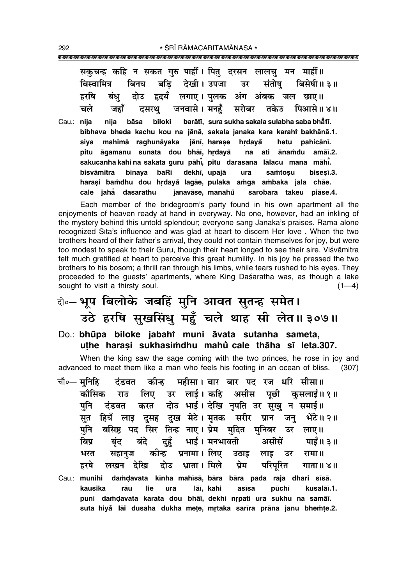|       |                   | सकुचन्ह कहि न सकत गुरु पाहीं। पितु दरसन लालचु मन माहीं॥               |
|-------|-------------------|-----------------------------------------------------------------------|
|       | बिस्वामित्र       | बिनय बड़ि देखी। उपजा उर संतोषु बिसेषी॥३॥                              |
|       | हरषि              | बंधु दोउ हृदयँ लगाए। पुलक अंग अंबक जल छाए॥                            |
|       |                   | चले जहाँ दसरथु जनवासे।मनहुँ सरोबर तकेउ पिआसे॥४॥                       |
| Cau.: | nija              | nija bāsa biloki barātī, sura sukha sakala sulabha saba bhātī.        |
|       |                   | bibhava bheda kachu kou na jānā, sakala janaka kara karahi bakhānā.1. |
|       |                   | siya mahimā raghunāyaka jānī, harase hrdayå hetu pahicānī.            |
|       |                   | pitu āgamanu sunata dou bhāī, hrdayå na ati ānamdu amāī.2.            |
|       |                   | sakucanha kahi na sakata guru pāhi, pitu darasana lālacu mana māhi.   |
|       | bisvāmitra binaya | baRi dekhī, upajā ura<br>samtosu<br>bisesī.3.                         |
|       |                   | harasi bamdhu dou hrdayå lagāe, pulaka amga ambaka jala chāe.         |
|       |                   | piāse.4.                                                              |

Each member of the bridegroom's party found in his own apartment all the enjoyments of heaven ready at hand in everyway. No one, however, had an inkling of the mystery behind this untold splendour; everyone sang Janaka's praises. Rāma alone recognized Sita's influence and was glad at heart to discern Her love. When the two brothers heard of their father's arrival, they could not contain themselves for joy, but were too modest to speak to their Guru, though their heart longed to see their sire. Visvamitra felt much gratified at heart to perceive this great humility. In his joy he pressed the two brothers to his bosom; a thrill ran through his limbs, while tears rushed to his eyes. They proceeded to the guests' apartments, where King Dasaratha was, as though a lake sought to visit a thirsty soul.  $(1-4)$ 

- वे० भूप बिलोके जबहिं मुनि आवत सुतन्ह समेत। उठे हरषि सुखसिंधु महँ चले थाह सी लेत॥३०७॥
- Do.: bhūpa biloke jabahi muni āvata sutanha sameta, uthe harasi sukhasimdhu mahů cale thāha sī leta.307.

When the king saw the sage coming with the two princes, he rose in joy and advanced to meet them like a man who feels his footing in an ocean of bliss. (307)

कीन्ह महीसा। बार बार पद रज धरि सीसा॥ चौ०— मनिहि टंडवत लिए उर लाई।कहि असीस पूछी कुसलाई॥१॥ कौसिक राउ दोउ भाई। देखि नृपति उर सुखु न समाई॥ करत पूनि दंडवत हियँ लाइ दुसह दुख मेटे।मृतक सरीर प्रान जन् सत भेंटे ॥ २ ॥ बसिष्ठ पद सिर तिन्ह नाए। प्रेम मुदित मुनिबर उर लाए॥ पनि दहँ भाईं। मनभावती बिप्र बंदे असीसें पाईं॥ ३॥ बंद कीन्ह प्रनामा । लिए भरत सहानुज उठाइ लाइ उर रामा ॥ दोउ भ्राता। मिले प्रेम हरषे लखन देखि परिपरित गाता ॥ ४॥ damdavata kīnha mahīsā, bāra bāra pada raja dhari sīsā. Cau.: munihi kausika rāu lie lāī, kahi asīsa pūchī kusalāī.1. ura puni damdavata karata dou bhāī, dekhi nrpati ura sukhu na samāī. suta hiyå lāi dusaha dukha mete, mrtaka sarīra prāna janu bhemte.2.

292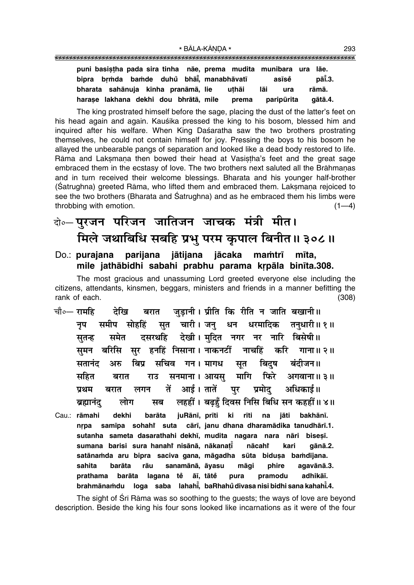| puni basistha pada sira tinha nãe, prema mudita munibara ura |  |  |       |            | lāe.    |
|--------------------------------------------------------------|--|--|-------|------------|---------|
| bipra brmda bamde duhů bhāi, manabhāvatī                     |  |  |       | asīsĕ      | pāī.3.  |
| bharata sahānuja kīnha pranāmā, lie                          |  |  | uthāi | lāi<br>ura | rāmā.   |
| harase lakhana dekhi dou bhrātā, mile                        |  |  | prema | paripūrita | aātā.4. |

The king prostrated himself before the sage, placing the dust of the latter's feet on his head again and again. Kausika pressed the king to his bosom, blessed him and inguired after his welfare. When King Daśaratha saw the two brothers prostrating themselves, he could not contain himself for joy. Pressing the boys to his bosom he allayed the unbearable pangs of separation and looked like a dead body restored to life. Rāma and Laksmana then bowed their head at Vasistha's feet and the great sage embraced them in the ecstasy of love. The two brothers next saluted all the Brāhmanas and in turn received their welcome blessings. Bharata and his younger half-brother (Satrughna) greeted Rāma, who lifted them and embraced them. Laksmana rejoiced to see the two brothers (Bharata and Satrughna) and as he embraced them his limbs were throbbing with emotion.  $(1-4)$ 

## के⊶पुरजन परिजन जातिजन जाचक मंत्री मीत। मिले जथाबिधि सबहि प्रभु परम कृपाल बिनीत ॥ ३०८॥

#### Do.: purajana parijana jātijana jācaka mamtrī mīta. mile jathābidhi sabahi prabhu parama krpāla binīta.308.

The most gracious and unassuming Lord greeted everyone else including the citizens, attendants, kinsmen, beggars, ministers and friends in a manner befitting the rank of each.  $(308)$ 

- चौ०— रामहि देखि जड़ानी। प्रीति कि रीति न जाति बखानी॥ बरात सुत चारी।जन् धन धरमादिक समीप सोहहिं तनुधारी॥ १ ॥ नप दसरथहि देखी। मुदित नगर नर नारि बिसेषी॥ समेत सतन्ह समन बरिसि सर हनहिं निसाना। नाकनटीं नाचहिं करि गाना ॥ २ ॥ बिप्र सचिव गन।मागध सतानंद अरु सृत बिदष बंदीजन॥ सनमाना। आयसु मागि फिरे सहित अगवाना ॥ ३॥ बरात राउ तें आई। तातें पर प्रमोद अधिकाई॥ प्रथम बरात लगन लहहीं। बढहँ दिवस निसि बिधि सन कहहीं॥४॥ लोग सब ब्रह्मानंद
- Cau.: rāmahi dekhi barāta juRānī, prīti ki rīti na jāti bakhānī. nrpa samīpa sohahi suta cārī, janu dhana dharamādika tanudhārī.1. sutanha sameta dasarathahi dekhī, mudita nagara nara nāri biseșī. sumana barisi sura hanahi nisānā, nākanatī nācahi kari qānā.2. satānamda aru bipra saciva gana, māgadha sūta bidusa bamdījana. māqi sahita barāta rāu sanamānā, āvasu phire agavānā.3. lagana tě āī, tātě prathama barāta pura pramodu adhikāī. brahmānamdu loga saba lahahi, baRhahůdivasa nisi bidhi sana kahahi.4.

The sight of Sri Rama was so soothing to the guests; the ways of love are beyond description. Beside the king his four sons looked like incarnations as it were of the four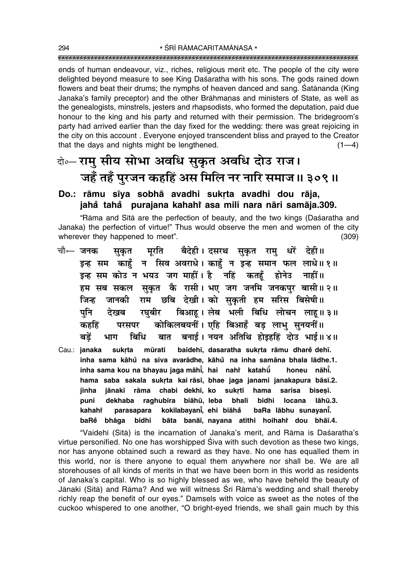ends of human endeavour, viz., riches, religious merit etc. The people of the city were delighted beyond measure to see King Daśaratha with his sons. The gods rained down flowers and beat their drums; the nymphs of heaven danced and sang. Satananda (King Janaka's family preceptor) and the other Brāhmanas and ministers of State, as well as the genealogists, minstrels, jesters and rhapsodists, who formed the deputation, paid due honour to the king and his party and returned with their permission. The bridegroom's party had arrived earlier than the day fixed for the wedding: there was great rejoicing in the city on this account. Everyone enjoyed transcendent bliss and prayed to the Creator that the days and nights might be lengthened.  $(1-4)$ 

### वे॰- रामु सीय सोभा अवधि सुकृत अवधि दोउ राज। जहँ तहँ पुरजन कहहिं अस मिलि नर नारि समाज॥ ३०९॥

#### Do.: rāmu sīya sobhā avadhi sukrta avadhi dou rāja, jahå tahå purajana kahahi asa mili nara nāri samāja.309.

"Rāma and Sītā are the perfection of beauty, and the two kings (Daśaratha and Janaka) the perfection of virtue!" Thus would observe the men and women of the city wherever they happened to meet".  $(309)$ 

- चौ⊶ जनक मूरति बैदेही। दसरथ सुकृत रामु धरें देही॥ सकत इन्ह सम काहूँ न सिव अवराधे। काहूँ न इन्ह समान फल लाधे॥१॥ इन्ह सम कोउ न भयउ जग माहीं। है नहिं कतहँ होनेउ नाहीं॥ हम सब सकल सुकृत कै रासी। भए जग जनमि जनकपुर बासी॥२॥ जानकी राम छबि देखी।को सुकृती हम सरिस बिसेषी॥ जिन्ह रघबीर बिआह। लेब भली बिधि लोचन लाह॥३॥ पनि देखब कोकिलबयनीं। एहि बिआहँ बड लाभ सनयनीं॥ कहहिं परसपर बात बनाई। नयन अतिथि होइहहिं दोउ भाई॥४॥ बडें बिधि भाग
- mūrati baidehī, dasaratha sukrta rāmu dharē dehī. Cau.: janaka sukrta inha sama kāhů na siva avarādhe, kāhů na inha samāna bhala lādhe.1. inha sama kou na bhayau jaga māhī, hai nahi katahū honeu nāhī. hama saba sakala sukrta kai rāsī, bhae jaga janami janakapura bāsī.2. chabi dekhī, ko sukrtī jinha jānakī rāma hama sarisa bisesī. puni dekhaba raghubīra biāhū, leba bhalī bidhi **locana** lāhū.3. kokilabayani, ehi biāhå parasapara baRa lābhu sunayanī. kahaht bāta banāī, nayana atithi hoihahi dou bhāī.4. baRe bhāqa bidhi

"Vaidehī (Sītā) is the incarnation of Janaka's merit, and Rāma is Daśaratha's virtue personified. No one has worshipped Siva with such devotion as these two kings, nor has anyone obtained such a reward as they have. No one has equalled them in this world, nor is there anyone to equal them anywhere nor shall be. We are all storehouses of all kinds of merits in that we have been born in this world as residents of Janaka's capital. Who is so highly blessed as we, who have beheld the beauty of Jānakī (Sītā) and Rāma? And we will witness Srī Rāma's wedding and shall thereby richly reap the benefit of our eyes." Damsels with voice as sweet as the notes of the cuckoo whispered to one another, "O bright-eyed friends, we shall gain much by this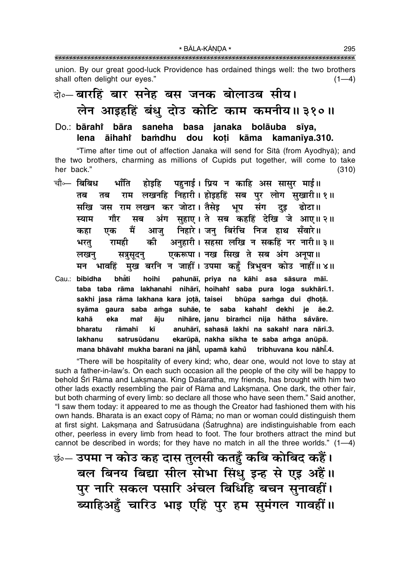union. By our great good-luck Providence has ordained things well: the two brothers shall often delight our eves."  $(1-4)$ 

### के-बारहिं बार सनेह बस जनक बोलाउब सीय। लेन आइहहिं बंधु दोउ कोटि काम कमनीय॥३१०॥

#### **bāra** ianaka bolāuba Do <sup>∙</sup> **bārahi**\* saneha basa sīva. lena **aihaht** bamdhu dou koti kāma kamanīya.310.

"Time after time out of affection Janaka will send for Sita (from Ayodhya); and the two brothers, charming as millions of Cupids put together, will come to take her back."  $(310)$ 

पहनाई। प्रिय न काहि अस सासुर माई॥ चौ⊶ बिबिध भाँति होइहि राम लखनहि निहारी। होइहहिं सब पुर लोग सुखारी॥१॥ तब तब सखि जस राम लखन कर जोटा। तैसेड़ भप संग दड़ ढोटा ॥ अंग सुहाए। ते सब कहहिं देखि जे आए॥ २॥ गौर स्याम मब आज़ निहारे। जन् बिरंचि निज हाथ सँवारे॥ मैं कहा एक अनुहारी। सहसा लखि न सकहिं नर नारी॥३॥ को भरतु रामही एकरूपा। नख सिख ते सब अंग अनुपा॥ सत्रसुदन् लखन् भावहिं मुख बरनि न जाहीं। उपमा कहँ त्रिभुवन कोउ नाहीं॥४॥ मन Cau.: bibidha bhẳti hoihi pahunāī, priya na kāhi asa sāsura māī. taba taba rāma lakhanahi nihārī, hoihahi saba pura loga sukhārī.1. sakhi jasa rāma lakhana kara jotā, taisei bhūpa samqa dui dhotā. amga suhāe, te saba kahahî dekhi je syāma gaura saba āe.2. nihāre, janu biramci nija hātha såvāre. kahā āju eka mat anuhārī, sahasā lakhi na sakahi nara nārī.3. bharatu rāmahī kī ekarūpā, nakha sikha te saba amga anūpā. lakhanu satrusūdanu

mana bhāvahi mukha barani na jāhī, upamā kahů tribhuvana kou nāhī.4.

"There will be hospitality of every kind; who, dear one, would not love to stay at such a father-in-law's. On each such occasion all the people of the city will be happy to behold Srī Rāma and Laksmana. King Daśaratha, my friends, has brought with him two other lads exactly resembling the pair of Rama and Laksmana. One dark, the other fair, but both charming of every limb: so declare all those who have seen them." Said another, "I saw them today: it appeared to me as though the Creator had fashioned them with his own hands. Bharata is an exact copy of Rāma; no man or woman could distinguish them at first sight. Laksmana and Śatrusūdana (Śatrughna) are indistinguishable from each other, peerless in every limb from head to foot. The four brothers attract the mind but cannot be described in words; for they have no match in all the three worlds."  $(1-4)$ 

<u>छंन् उपमा न कोउ कह दास तुलसी कतहुँ कबि कोबिद कहैं।</u> बल बिनय बिद्या सील सोभा सिंधु इन्ह से एइ अहैं।। पुर नारि सकल पसारि अंचल बिधिहि बचन सुनावहीं। ब्याहिअहुँ चारिउ भाइ एहिं पुर हम सुमंगल गावहीं।।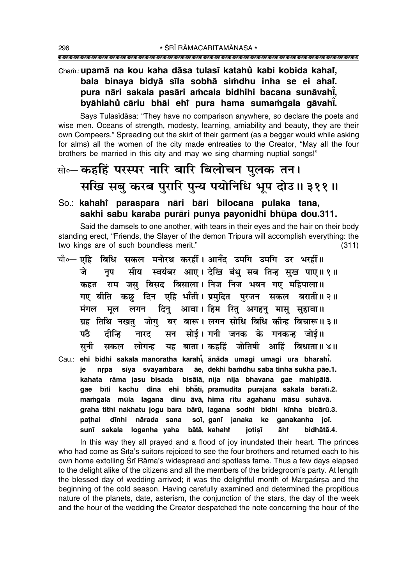### Cham.: upamā na kou kaha dāsa tulasī katahů kabi kobida kahai, bala binaya bidyā sīla sobhā simdhu inha se ei ahai. pura nāri sakala pasāri amcala bidhihi bacana sunāvahī, byāhiahů cāriu bhāi ehr pura hama sumamgala gāvahi.

Says Tulasidasa: "They have no comparison anywhere, so declare the poets and wise men. Oceans of strength, modesty, learning, amiability and beauty, they are their own Compeers." Spreading out the skirt of their garment (as a beggar would while asking for alms) all the women of the city made entreaties to the Creator, "May all the four brothers be married in this city and may we sing charming nuptial songs!"

### क्षे∘– कहहिं परस्पर नारि बारि बिलोचन पुलक तन। सखि सबु करब पुरारि पुन्य पयोनिधि भूप दोउ॥३११॥

### So.: kahahi paraspara nāri bāri bilocana pulaka tana, sakhi sabu karaba purāri punya payonidhi bhūpa dou.311.

Said the damsels to one another, with tears in their eyes and the hair on their body standing erect, "Friends, the Slayer of the demon Tripura will accomplish everything: the two kings are of such boundless merit."  $(311)$ 

- चौ∘— एहिक िधि सकल मनोरथ करहीं। आनँद उमगि उमगि उर भरहीं॥ सीय स्वयंबर आए। देखि बंधु सब तिन्ह सुख पाए॥१॥ जे नप कहत राम जस बिसद बिसाला। निज निज भवन गए महिपाला॥ गए बीति कछ दिन एहि भाँती। प्रमदित परजन सकल बराती॥२॥ मंगल मूल लगन दिनु आवा।हिम रितु अगहनु मासु सुहावा॥ ग्रह तिथि नखत जोग बर बारू। लगन सोधि बिधि कीन्ह बिचारू॥३॥ सन सोई। गनी जनक के गनकन्ह जोई॥ पठे टीन्हि नारट यह बाता। कहहिं जोतिषी आहिं बिधाता॥४॥ सनी सकल लोगन्ह Cau.: ehi bidhi sakala manoratha karahi, anada umagi umagi ura bharahi.
- nrpa sīya svayambara āe, dekhi bamdhu saba tinha sukha pāe.1. ie kahata rāma jasu bisada bisālā, nija nija bhavana gae mahipālā. gae bīti kachu dina ehi bhātī, pramudita purajana sakala barātī.2. mamgala mūla lagana dinu āvā, hima ritu agahanu māsu suhāvā. graha tithi nakhatu jogu bara bārū, lagana sodhi bidhi kīnha bicārū.3. pathai dīnhi nārada sana soī, ganī janaka ke ganakanha joī. sunī sakala loganha yaha bātā, kahaht jotisī āhr bidhātā.4.

In this way they all prayed and a flood of joy inundated their heart. The princes who had come as Sītā's suitors rejoiced to see the four brothers and returned each to his own home extolling Srī Rāma's widespread and spotless fame. Thus a few days elapsed to the delight alike of the citizens and all the members of the bridegroom's party. At length the blessed day of wedding arrived; it was the delightful month of Margasirsa and the beginning of the cold season. Having carefully examined and determined the propitious nature of the planets, date, asterism, the conjunction of the stars, the day of the week and the hour of the wedding the Creator despatched the note concerning the hour of the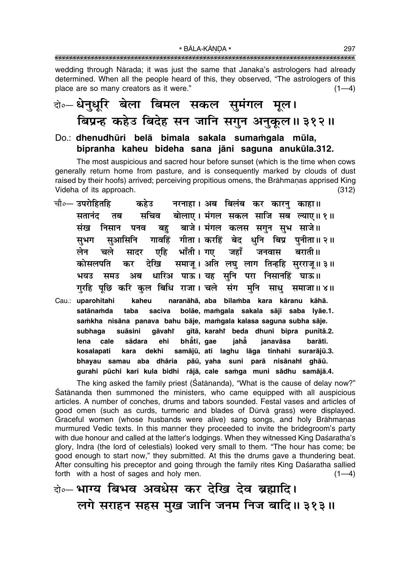wedding through Nārada; it was just the same that Janaka's astrologers had already determined. When all the people heard of this, they observed, "The astrologers of this place are so many creators as it were."  $(1-4)$ 

### केन्थेनुधूरि बेला बिमल सकल सुमंगल मूल। बिप्रन्ह कहेउ बिदेह सन जानि सगुन अनुकूल॥३१२॥

Do.: dhenudhūri belā bimala sakala sumamgala mūla, bipranha kaheu bideha sana jāni saguna anukūla.312.

The most auspicious and sacred hour before sunset (which is the time when cows generally return home from pasture, and is consequently marked by clouds of dust raised by their hoofs) arrived; perceiving propitious omens, the Brāhmanas apprised King Videha of its approach.  $(312)$ 

- चौ०— उपरोहितहि कहेउ नरनाहा। अब बिलंब कर कारनु काहा॥ सचिव बोलाए। मंगल सकल साजि सब ल्याए॥१॥ सतानंद तब बह बाजे। मंगल कलस सगुन सुभ साजे॥ संख निसान पनव गावहिं गीता। करहिं बेद धनि बिप्र पुनीता॥२॥ सभग सआसिनि चले एहि भाँती। गए जहाँ लेन जनवास बराती ॥ सादर समाजू। अति लघु लाग तिन्हहि सुरराजू॥३॥ कोसलपति कर देखि भयउ धारिअ पाऊ। यह सनि परा निसानहिं घाऊ॥ समउ अब गरहि पछि करि कल बिधि राजा। चले संग मनि साध समाजा॥ ४॥
- Cau.: uparohitahi kaheu naranāhā, aba bilamba kara kāranu kāhā. bolāe, mamgala sakala sāji saba lyāe.1. satānamda taba saciva samkha nisāna panava bahu bāje, mamgala kalasa saguna subha sāje. suāsini gāvahr gītā, karahi beda dhuni bipra punītā.2. subhaga bhatī, gae lena cale sādara ehi jahẵ janavāsa barātī. kosalapati dekhi samājū, ati laghu lāga tinhahi surarājū.3. kara bhayau samau aba dhāria pāū, yaha suni parā nisānahi ghāū. gurahi pūchi kari kula bidhi rājā, cale samga muni sādhu samājā.4.

The king asked the family priest (Satānanda), "What is the cause of delay now?" Satananda then summoned the ministers, who came equipped with all auspicious articles. A number of conches, drums and tabors sounded. Festal vases and articles of good omen (such as curds, turmeric and blades of Dūrvā grass) were displayed. Graceful women (whose husbands were alive) sang songs, and holy Brāhmanas murmured Vedic texts. In this manner they proceeded to invite the bridegroom's party with due honour and called at the latter's lodgings. When they witnessed King Daśaratha's glory, Indra (the lord of celestials) looked very small to them. "The hour has come; be good enough to start now," they submitted. At this the drums gave a thundering beat. After consulting his preceptor and going through the family rites King Daśaratha sallied forth with a host of sages and holy men.  $(1-4)$ 

### के-भाग्य बिभव अवधेस कर देखि देव ब्रह्मादि। लगे सराहन सहस मुख जानि जनम निज बादि॥ ३१३॥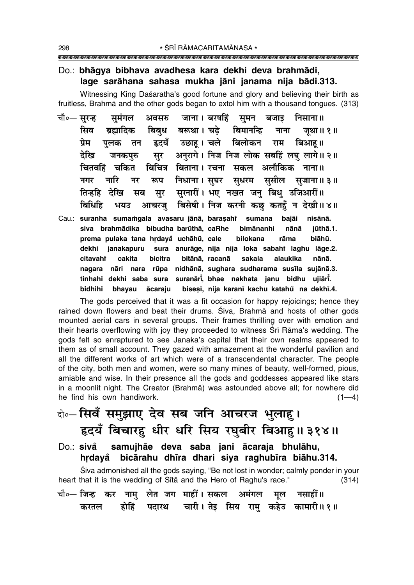#### Do.: bhāgya bibhava avadhesa kara dekhi deva brahmādi, lage sarāhana sahasa mukha jāni janama nija bādi.313.

Witnessing King Daśaratha's good fortune and glory and believing their birth as fruitless, Brahmā and the other gods began to extol him with a thousand tongues. (313)

- चौ०— सुरन्ह जाना। बरषहिं समन बजाइ समंगल अवसरु निसाना ॥ सिव बरूथा । चढे बिमानन्दि ब्रह्मादिक बिबध नाना जथा॥ १॥ हृदयँ उछाह। चले बिलोकन राम बिआह॥ प्रेम पलक तन अनुरागे। निज निज लोक सबहिं लघ लागे॥ २॥ देरिव सर जनकपरु बिचित्र बिताना। रचना सकल अलौकिक नाना॥ चितवहिं चकित नारि रूप निधाना। सघर सधरम ससील सजाना॥३॥ नगर नर तिन्हहि सरनारीं। भए नखत जन बिध उजिआरीं॥ देखि सब सर बिधिहि बिसेषी। निज करनी कछ कतहँ न देखी॥४॥ भयउ आचरज
- Cau.: suranha sumamgala avasaru jānā, barasahi sumana baiāi nisānā. siva brahmādika bibudha barūthā, caRhe bimānanhi nānā jūthā.1. prema pulaka tana hrdayå uchāhū, cale **bilokana** rāma biāhū. dekhi janakapuru sura anurāge, nija nija loka sabahī laghu lāge.2. cakita bitānā, racanā alaukika citavahi bicitra sakala nānā. nagara nāri nara rūpa nidhānā, sughara sudharama susīla sujānā.3. tinhahi dekhi saba sura suranārī, bhae nakhata janu bidhu ujiārī. bidhihi bhayau ācaraju biseși, nija karani kachu katahů na dekhi.4.

The gods perceived that it was a fit occasion for happy rejoicings; hence they rained down flowers and beat their drums. Siva, Brahma and hosts of other gods mounted aerial cars in several groups. Their frames thrilling over with emotion and their hearts overflowing with joy they proceeded to witness Srī Rāma's wedding. The gods felt so enraptured to see Janaka's capital that their own realms appeared to them as of small account. They gazed with amazement at the wonderful pavilion and all the different works of art which were of a transcendental character. The people of the city, both men and women, were so many mines of beauty, well-formed, pious, amiable and wise. In their presence all the gods and goddesses appeared like stars in a moonlit night. The Creator (Brahma) was astounded above all; for nowhere did he find his own handiwork.  $(1-4)$ 

## के-सिवँ समुझाए देव सब जनि आचरज भुलाहु। हृदयँ बिचारहु धीर धरि सिय रघुबीर बिआहु॥३१४॥

Do.: sivå samujhāe deva saba jani ācaraja bhulāhu, hrdayå bicārahu dhīra dhari siya raghubīra biāhu.314.

Śiva admonished all the gods saying, "Be not lost in wonder; calmly ponder in your heart that it is the wedding of Sita and the Hero of Raghu's race."  $(314)$ 

| चौ∘— जिन्ह  कर  नामु  लेत  जग  माहीं । सकल   अमंगल   मूल   नसाहीं ॥ |  |  |  |                                                       |  |
|---------------------------------------------------------------------|--|--|--|-------------------------------------------------------|--|
|                                                                     |  |  |  | करतल  होहिं पदारथ  चारी । तेइ सिय रामु कहेउ कामारी॥१॥ |  |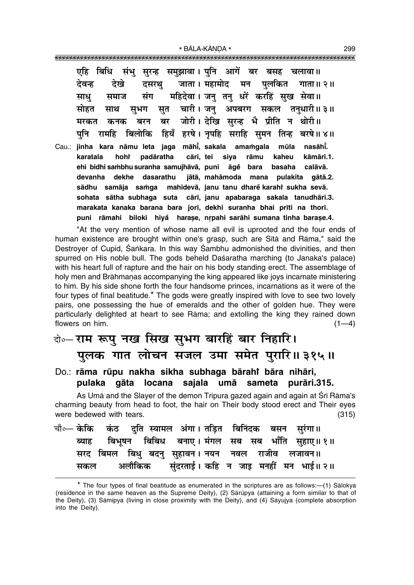एहि बिधि संभु सुरन्ह समुझावा। पनि आगें बर बसह चलावा॥ जाता । महामोद देवन्ह दसरथ मन पलकित देखे गाता ॥ २ ॥ महिदेवा। जन तन धरें करहिं सख सेवा॥ संग साध समाज सत चारी। जन अपबरग सकल तनधारी॥३॥ सोहत साथ सभग जोरी। देखि सरन्ह भै प्रीति न थोरी॥ बर मरकत कनक बरन बिलोकि हियँ हरषे। नपहि सराहि समन तिन्ह बरषे॥४॥ पनि रामहि Cau.: iinha kara nāmu leta jaga māhī, sakala amamgala mūla nasāhī. cārī, tei karatala hohř padāratha siya rāmu kaheu kāmārī.1. ehi bidhi sambhu suranha samujhāvā, puni āgě bara basaha calāvā. devanha dekhe dasarathu jātā, mahāmoda mana pulakita gātā.2. sādhu samāja samqa mahidevā, janu tanu dharě karahí sukha sevā. sohata sātha subhaga suta cārī, janu apabaraga sakala tanudhārī.3. marakata kanaka barana bara jorī, dekhi suranha bhai prīti na thorī.

"At the very mention of whose name all evil is uprooted and the four ends of human existence are brought within one's grasp, such are Sita and Rāma," said the Destroyer of Cupid, Sankara. In this way Sambhu admonished the divinities, and then spurred on His noble bull. The gods beheld Daśaratha marching (to Janaka's palace) with his heart full of rapture and the hair on his body standing erect. The assemblage of holy men and Brāhmanas accompanying the king appeared like joys incarnate ministering to him. By his side shone forth the four handsome princes, incarnations as it were of the four types of final beatitude.\* The gods were greatly inspired with love to see two lovely pairs, one possessing the hue of emeralds and the other of golden hue. They were particularly delighted at heart to see Rāma; and extolling the king they rained down flowers on him.  $(1-4)$ 

puni rāmahi biloki hiyå harașe, nrpahi sarāhi sumana tinha barașe.4.

### बे-राम रूपु नख सिख सुभग बारहिं बार निहारि। पलक गात लोचन सजल उमा समेत पुरारि॥३१५॥

#### Do.: rāma rūpu nakha sikha subhaga bārahi bāra nihāri, gāta locana sajala umā sameta pulaka purāri.315.

As Umā and the Slayer of the demon Tripura gazed again and again at Srī Rāma's charming beauty from head to foot, the hair on Their body stood erect and Their eyes were bedewed with tears.  $(315)$ 

|  |  | चौ∘— केकि कंठ दुति स्यामल अंगा। तड़ित बिनिंदक बसन सुरंगा॥ |  |  |                                                    |
|--|--|-----------------------------------------------------------|--|--|----------------------------------------------------|
|  |  |                                                           |  |  | ब्याह बिभूषन बिबिध बनाए। मंगल सब सब भाँति सहाए॥ १॥ |
|  |  | सरद बिमल बिधु बदनु सुहावन। नयन नवल राजीव लजावन॥           |  |  |                                                    |
|  |  |                                                           |  |  | सकल अलौकिक सुंदरताई। कहि न जाइ मनहीं मन भाई॥ २॥    |

<sup>\*</sup> The four types of final beatitude as enumerated in the scriptures are as follows:—(1) Sālokya (residence in the same heaven as the Supreme Deity), (2) Sārūpya (attaining a form similar to that of the Deity), (3) Sāmīpya (living in close proximity with the Deity), and (4) Sāyujya (complete absorption into the Deity).

299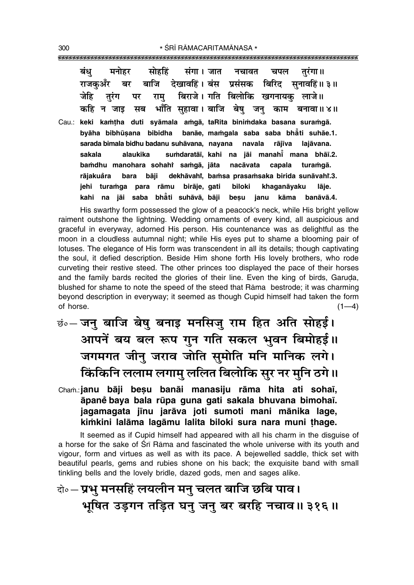| सोहहिं संगा।जात नचावत चपल तुरंगा॥<br>बंध<br>मनोहर                     |
|-----------------------------------------------------------------------|
| राजकुअँर बर बाजि देखावहिं।बंस प्रसंसक बिरिद सुनावहिं॥३॥               |
| रामु बिराजे। गति बिलोकि खगनायकु लाजे॥<br>जेहि तुरंग पर                |
| कहि न जाइ सब  भाँति सुहावा। बाजि बेषु जनु काम बनावा॥४॥                |
| Cau.: keki kamtha duti syāmala amgā, taRita binimdaka basana suramgā. |
| byāha bibhūsana bibidha banāe, mamgala saba saba bhāti suhāe.1.       |
| sarada bimala bidhu badanu suhāvana, nayana navala rājīva lajāvana.   |
| alaukika sumdaratāi, kahi na jāi manahī mana bhāi.2.<br>sakala        |
| bamdhu manohara sohahi samgā, jāta nacāvata capala turamgā.           |
| rājakuåra bara bāji dekhāvahi, bamsa prasamsaka birida sunāvahi.3.    |
| turamga para rāmu birāje, gati biloki<br>jehi<br>khaganāyaku<br>lāje. |
| na jāi saba bhāti suhāvā, bāji<br>kahi<br>besu janu<br>kāma banāvā.4. |

His swarthy form possessed the glow of a peacock's neck, while His bright yellow raiment outshone the lightning. Wedding ornaments of every kind, all auspicious and graceful in everyway, adorned His person. His countenance was as delightful as the moon in a cloudless autumnal night; while His eyes put to shame a blooming pair of lotuses. The elegance of His form was transcendent in all its details; though captivating the soul, it defied description. Beside Him shone forth His lovely brothers, who rode curveting their restive steed. The other princes too displayed the pace of their horses and the family bards recited the glories of their line. Even the king of birds, Garuda, blushed for shame to note the speed of the steed that Rama bestrode; it was charming beyond description in everyway; it seemed as though Cupid himself had taken the form of horse.  $(1-4)$ 

- छं. जनु बाजि बेषु बनाइ मनसिजु राम हित अति सोहई। आपनें बय बल रूप गुन गति सकल भुवन बिमोहई।। जगमगत जीन् जराव जोति सुमोति मनि मानिक लगे। किंकिनि ललाम लगामु ललित बिलोकि सुर नर मुनि ठगे।।
- Cham.: janu bāji besu banāi manasiju rāma hita ati sohaī, āpaně baya bala rūpa guna gati sakala bhuvana bimohaī. jagamagata jīnu jarāva joti sumoti mani mānika lage, kimkini lalāma lagāmu lalita biloki sura nara muni thage.

It seemed as if Cupid himself had appeared with all his charm in the disguise of a horse for the sake of Sri Rama and fascinated the whole universe with its youth and vigour, form and virtues as well as with its pace. A bejewelled saddle, thick set with beautiful pearls, gems and rubies shone on his back; the exquisite band with small tinkling bells and the lovely bridle, dazed gods, men and sages alike.

## के॰– प्रभु मनसहिं लयलीन मनु चलत बाजि छबि पाव। भूषित उड़गन तड़ित घनु जनु बर बरहि नचाव॥३१६॥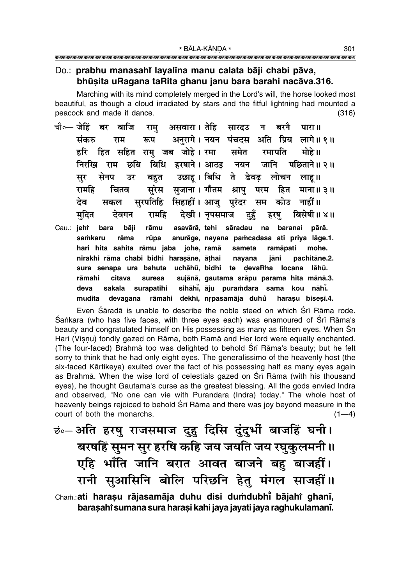#### Do.: prabhu manasahi layalīna manu calata bāji chabi pāva, bhūsita uRagana taRita ghanu janu bara barahi nacāva.316.

Marching with its mind completely merged in the Lord's will, the horse looked most beautiful, as though a cloud irradiated by stars and the fitful lightning had mounted a peacock and made it dance.  $(316)$ 

- असवारा। तेहि सारदउ न बरनै चौ०— जेहिं बर बाजि राम पारा ॥ अनुरागे। नयन पंचदस अति प्रिय लागे॥१॥ संकरु रूप राम हित सहित राम जब जोहे। रमा समेत रमापति मोहे ॥ हरि बिधि हरषाने। आठइ निरखि राम छबि नयन जानि पछिताने॥ २॥ उछाह। बिधि ते डेवढ लोचन सेनप बहत सर उर लाह ॥ सुरेस सुजाना। गौतम श्रापु परम हित चितव रामहि माना॥ ३॥ सुरपतिहि सिहाहीं। आजु पुरंदर देव सम कोउ नाहीं ॥ सकल मदित रामहि देखी। नुपसमाज बिसेषी॥४॥ देवगन दहँ हरष
- Cau.: jehř bara bāji rāmu asavārā, tehi sāradau na baranai pārā. samkaru rāma rūpa anurāge, navana pamcadasa ati priva lāge.1. hari hita sahita rāmu jaba johe, ramā ramāpati sameta mohe. nirakhi rāma chabi bidhi harasāne, āthai nayana jāni pachitāne.2. uchāhū, bidhi te devaRha locana lāhū. sura senapa ura bahuta citava sujānā, gautama srāpu parama hita mānā.3. rāmahi suresa sihāhi, āju puramdara sama deva sakala surapatihi kou nāhī. rāmahi dekhī, nrpasamāja duhů devagana harasu bisesi.4. mudita

Even Śāradā is unable to describe the noble steed on which Śrī Rāma rode. Śankara (who has five faces, with three eyes each) was enamoured of Śrī Rāma's beauty and congratulated himself on His possessing as many as fifteen eyes. When Sri Hari (Visnu) fondly gazed on Rāma, both Ramā and Her lord were equally enchanted. (The four-faced) Brahma too was delighted to behold Sri Rama's beauty; but he felt sorry to think that he had only eight eyes. The generalissimo of the heavenly host (the six-faced Kārtikeya) exulted over the fact of his possessing half as many eyes again as Brahmā. When the wise lord of celestials gazed on Srī Rāma (with his thousand eyes), he thought Gautama's curse as the greatest blessing. All the gods envied Indra and observed, "No one can vie with Purandara (Indra) today." The whole host of heavenly beings rejoiced to behold Srī Rāma and there was joy beyond measure in the court of both the monarchs.  $(1-4)$ 

छं०- अति हरषु राजसमाज दुहु दिसि दुंदुर्भी बाजहिं घनी। बरषहिं सुमन सुर हरषि कहि जय जयति जय रघुकुलमनी॥ एहि भाँति जानि बरात आवत बाजने बहु बाजहीं। रानी सुआसिनि बोलि परिछनि हेत् मंगल साजहीं।।

Cham.: ati harașu rājasamāja duhu disi dumdubhi bājahi ghanī, barasahi sumana sura harasi kahi jaya jayati jaya raghukulamanī.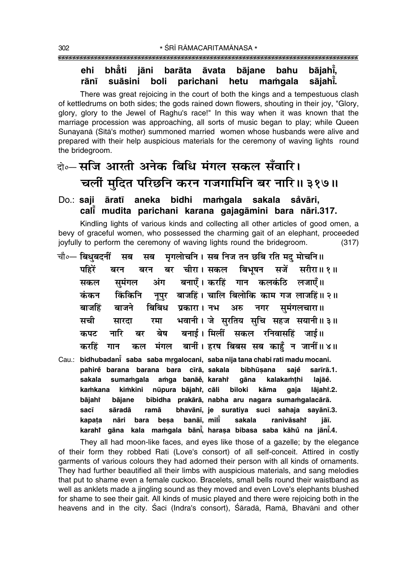#### bhăti bājahī, ehi jāni barāta āvata bājane bahu rānī suāsini parichani hetu mamgala sājahī. boli

There was great rejoicing in the court of both the kings and a tempestuous clash of kettledrums on both sides; the gods rained down flowers, shouting in their joy, "Glory, glory, glory to the Jewel of Raghu's race!" In this way when it was known that the marriage procession was approaching, all sorts of music began to play; while Queen Sunayanā (Sītā's mother) summoned married women whose husbands were alive and prepared with their help auspicious materials for the ceremony of waving lights round the bridegroom.

### के—संजि आरती अनेक बिधि मंगल सकल सँवारि। चलीं मुदित परिछनि करन गजगामिनि बर नारि॥ ३१७॥

#### Do.: saji āratī aneka bidhi mamqala sakala såvāri, cali mudita parichani karana gajagāmini bara nāri.317.

Kindling lights of various kinds and collecting all other articles of good omen, a bevy of graceful women, who possessed the charming gait of an elephant, proceeded joyfully to perform the ceremony of waving lights round the bridegroom.  $(317)$ 

- मृगलोचनि । सब निज तन छबि रति मद मोचनि॥ चौ∘— बिधुबदनीं सब सब पहिरें बर चीरा।सकल बिभषन सर्जे सरीरा॥१॥ बरन बरन बनाएँ। करहिं गान कलकंठि लजाएँ॥ समंगल अंग सकल नुपुर बाजहिं। चालि बिलोकि काम गज लाजहिं॥ २॥ कंकन किंकिनि प्रकारा। नभ अरु नगर समंगलचारा॥ बाजहिं बाजने बिबिध भवानी। जे सरतिय सचि सहज सयानी॥३॥ ਸਬੀ रमा सारता बनाई। मिलीं सकल रनिवासहिं जाई॥ नारि बर बेष कपट मंगल बानीं। हरष बिबस सब काहूँ न जानीं॥४॥ करहिं गान कल
- Cau.: bidhubadani saba saba mrgalocani, saba nija tana chabi rati madu mocani. pahirė barana barana bara cīrā, sakala bibhūṣana sajě sarīrā.1. sumamgala amga banāe, karahi kalakamthi sakala aāna laiāě. nūpura bājahi, cāli kamkana kimkini biloki kāma lājahř.2. qaja bājaht bājane bibidha prakārā, nabha aru nagara sumamgalacārā. ramā bhavānī, je suratiya suci sahaja sayānī.3. sacī sāradā nāri bara besa banāī, milī sakala ranivāsaht kapata jāī. karahi gāna kala mamgala bāni, harasa bibasa saba kāhu na jāni.4.

They all had moon-like faces, and eyes like those of a gazelle; by the elegance of their form they robbed Rati (Love's consort) of all self-conceit. Attired in costly garments of various colours they had adorned their person with all kinds of ornaments. They had further beautified all their limbs with auspicious materials, and sang melodies that put to shame even a female cuckoo. Bracelets, small bells round their waistband as well as anklets made a jingling sound as they moved and even Love's elephants blushed for shame to see their gait. All kinds of music played and there were rejoicing both in the heavens and in the city. Saci (Indra's consort), Sarada, Rama, Bhavani and other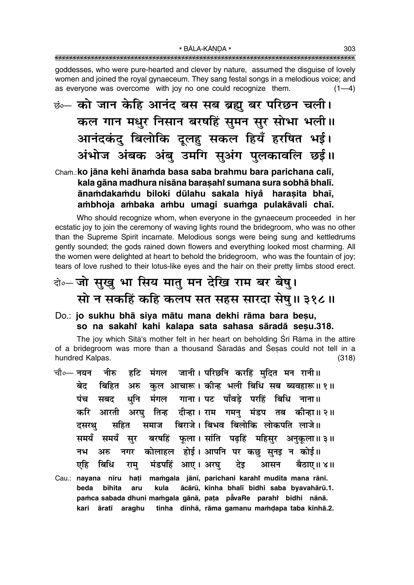goddesses, who were pure-hearted and clever by nature, assumed the disguise of lovely women and joined the royal gynaeceum. They sang festal songs in a melodious voice; and as everyone was overcome with joy no one could recognize them.  $(1-4)$ 

<u>छं… को जान केहि आनंद बस सब ब्रह्म</u> बर परिछन चली। कल गान मधुर निसान बरषहिं सुमन सुर सोभा भली॥ आनंदकंद बिलोकि दुलह सकल हियँ हरषित भई। अंभोज अंबक अंब उमगि सुअंग पुलकावलि छई।।

### Cham.: ko jāna kehi ānamda basa saba brahmu bara parichana calī, kala gāna madhura nisāna barasahi sumana sura sobhā bhalī. ānamdakamdu biloki dūlahu sakala hiyå harasita bhaī, ambhoja ambaka ambu umagi suamga pulakāvali chaī.

Who should recognize whom, when everyone in the gynaeceum proceeded in her ecstatic joy to join the ceremony of waving lights round the bridegroom, who was no other than the Supreme Spirit incarnate. Melodious songs were being sung and kettledrums gently sounded; the gods rained down flowers and everything looked most charming. All the women were delighted at heart to behold the bridegroom, who was the fountain of joy; tears of love rushed to their lotus-like eyes and the hair on their pretty limbs stood erect.

### केन्चो सुखु भा सिय मातु मन देखि राम बर बेषु। सो न सकहिं कहि कलप सत सहस सारदा सेषु॥३१८॥

### Do.: jo sukhu bhā siya mātu mana dekhi rāma bara besu, so na sakahi kahi kalapa sata sahasa sāradā sesu.318.

The joy which Sita's mother felt in her heart on beholding Sri Rama in the attire of a bridegroom was more than a thousand Saradas and Sesas could not tell in a hundred Kalpas.  $(318)$ 

हटि मंगल जानी। परिछनि करहिं मदित मन रानी॥ चौ०— नयन नीरु बिहित अरु कुल आचारू। कीन्ह भली बिधि सब ब्यवहारू॥१॥ बेट धुनि मंगल गाना। पट पाँवड़े परहिं बिधि नाना॥ पंच सबद आरती अरघु तिन्ह दीन्हा। राम गमन् मंडप तब कीन्हा॥ २॥ करि समाज बिराजे। बिभव बिलोकि लोकपति लाजे॥ सहित दसरथ बरषहिं फला। सांति पढहिं महिसर अनकला॥३॥ समयँ समयँ सर कोलाहल होई। आपनि पर कछ सनड न कोई॥ नभ अरु नगर एहि बिधि मंडपहिं आए। अरघु देइ आसन बैठाए॥ ४॥ राम् Cau.: nayana nīru hati mamgala jānī, parichani karahi mudita mana rānī. beda bihita kula ācārū, kīnha bhalī bidhi saba byavahārū.1. aru pamca sabada dhuni mamgala gānā, paṭa pāvaRe parahi bidhi nānā. kari āratī araghu tinha dīnhā, rāma gamanu mamdapa taba kīnhā.2.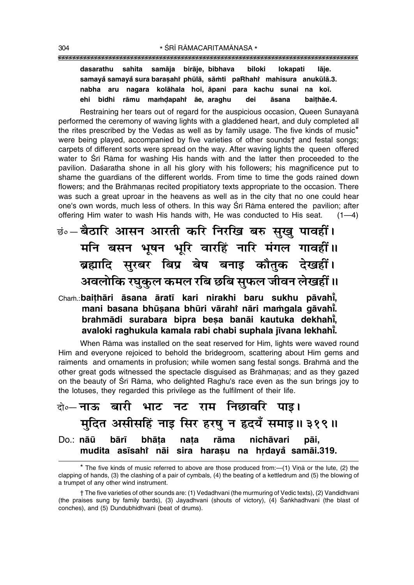sahita samāja birāje, bibhava dasarathu biloki lokapati lāje. samayå samayå sura barasahi phūlā, sāmti paRhahi mahisura anukūlā.3. nabha aru nagara kolāhala hoī āpani para kachu sunai na koī. ehi bidhi rāmu mamdapahi āe, araghu āsana baithae.4. dei

Restraining her tears out of regard for the auspicious occasion. Queen Sunavana performed the ceremony of waying lights with a gladdened heart, and duly completed all the rites prescribed by the Vedas as well as by family usage. The five kinds of music<sup>\*</sup> were being played, accompanied by five varieties of other soundst and festal songs: carpets of different sorts were spread on the way. After waving lights the queen offered water to Srī Rāma for washing His hands with and the latter then proceeded to the pavilion. Daśaratha shone in all his glory with his followers; his magnificence put to shame the quardians of the different worlds. From time to time the gods rained down flowers; and the Brāhmanas recited propitiatory texts appropriate to the occasion. There was such a great uproar in the heavens as well as in the city that no one could hear one's own words, much less of others. In this way Sri Rama entered the pavilion; after offering Him water to wash His hands with, He was conducted to His seat.  $(1-4)$ 

**छं.- बैठारि आसन आरती करि निरखि बरु सुखु पावहीं।** मनि बसन भूषन भूरि वारहिं नारि मंगल गावहीं।। ब्रह्मादि सुरबर बिप्र बेष बनाइ कौतुक देखहीं। अवलोकि रघुकुल कमल रबि छबि सुफल जीवन लेखहीं ॥

### Cham.: baithāri āsana āratī kari nirakhi baru sukhu pāvahi, mani basana bhūsana bhūri vārahi nāri mamgala gāvahi. brahmādi surabara bipra besa banāi kautuka dekhahi, avaloki raghukula kamala rabi chabi suphala jīvana lekhahī.

When Rāma was installed on the seat reserved for Him, lights were waved round Him and everyone rejoiced to behold the bridegroom, scattering about Him gems and raiments and ornaments in profusion; while women sang festal songs. Brahma and the other great gods witnessed the spectacle disguised as Brāhmanas; and as they gazed on the beauty of Sri Rama, who delighted Raghu's race even as the sun brings joy to the lotuses, they regarded this privilege as the fulfilment of their life.

बे॰-नाऊ बारी भाट नट राम निछावरि पाइ। मुदित असीसहिं नाइ सिर हरषु न हृदयँ समाइ॥३१९॥ Do.: nāū nichāvari bārī bhāta nata rāma pāi, mudita asīsahi nāi sira harasu na hrdaya samāi.319.

<sup>\*</sup> The five kinds of music referred to above are those produced from: - (1) Vina or the lute, (2) the clapping of hands, (3) the clashing of a pair of cymbals, (4) the beating of a kettledrum and (5) the blowing of a trumpet of any other wind instrument.

<sup>†</sup> The five varieties of other sounds are: (1) Vedadhvani (the murmuring of Vedic texts), (2) Vandidhvani (the praises sung by family bards), (3) Jayadhvani (shouts of victory), (4) Sankhadhvani (the blast of conches), and (5) Dundubhidhvani (beat of drums).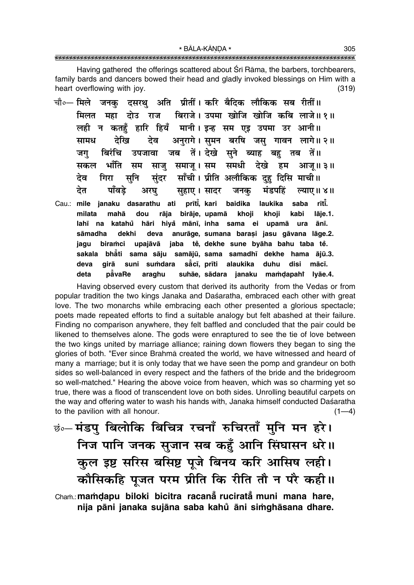Having gathered the offerings scattered about Sri Rama, the barbers, torchbearers, family bards and dancers bowed their head and gladly invoked blessings on Him with a heart overflowing with joy.  $(319)$ 

- चौ०— मिले जनक दसरथ अति प्रीतीं । करि बैदिक लौकिक सब रीतीं ॥ बिराजे। उपमा खोजि खोजि कबि लाजे॥१॥ मिलत महा दोउ राज लही न कतहँ हारि हियँ मानी। इन्ह सम एड उपमा उर आनी॥ अनरागे। समन बरषि जस गावन लागे॥ २॥ तेरिव मामध देव जब तें। देखे सूने ब्याह बहु तब तें॥ बिरंचि जग उपजावा भाँति साज समाज। सम समधी देखे सकल सम हम आज॥३॥ सनि साँची। प्रीति अलौकिक दह दिसि माची॥ तेव गिरा संदर देत पाँवडे अरघ सहाए। सादर जनक मंडपहिं ल्याए ॥ ४ ॥
- prīti, kari Cau.: mile janaku dasarathu ati baidika laukika saba rītī. rāja birāje, upamā milata mahā dou khoji khoji kabi lāje.1. katahů hāri hiyå mānī, inha sama ei upamā ura lahī na ānī. anurāge, sumana barasi jasu gāvana lāge.2. sāmadha dekhi deva jaba tě, dekhe sune byāha bahu taba tě. biramci upajāvā jaqu bhåti sama sāju samājū, sama samadhī dekhe hama ājū.3. sakala disi suni sumdara sā̃cī, prīti alaukika duhu deva airā mācī. deta påvaRe araghu suhāe, sādara janaku mamdapahi lyāe.4.

Having observed every custom that derived its authority from the Vedas or from popular tradition the two kings Janaka and Daśaratha, embraced each other with great love. The two monarchs while embracing each other presented a glorious spectacle; poets made repeated efforts to find a suitable analogy but felt abashed at their failure. Finding no comparison anywhere, they felt baffled and concluded that the pair could be likened to themselves alone. The gods were enraptured to see the tie of love between the two kings united by marriage alliance; raining down flowers they began to sing the glories of both. "Ever since Brahma created the world, we have witnessed and heard of many a marriage; but it is only today that we have seen the pomp and grandeur on both sides so well-balanced in every respect and the fathers of the bride and the bridegroom so well-matched." Hearing the above voice from heaven, which was so charming yet so true, there was a flood of transcendent love on both sides. Unrolling beautiful carpets on the way and offering water to wash his hands with, Janaka himself conducted Daśaratha to the pavilion with all honour.  $(1-4)$ 

छं∘– मंडपु बिलोकि बिचित्र रचनाँ रुचिरताँ मुनि मन हरे। निज पानि जनक सुजान सब कहुँ आनि सिंघासन धरे।। कुल इष्ट सरिस बसिष्ट पूजे बिनय करि आसिष लही। कौसिकहि पूजत परम प्रीति कि रीति तौ न परै कही।। Cham.: mamdapu biloki bicitra racana rucirata muni mana hare, nija pāni janaka sujāna saba kahů āni simghāsana dhare.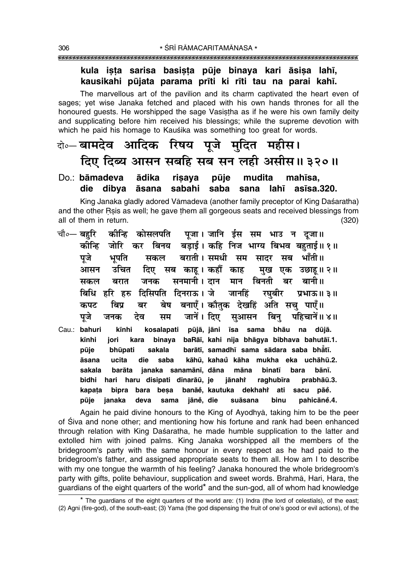### kula ista sarisa basista pūje binaya kari āsisa lahī, kausikahi pūjata parama prīti ki rīti tau na parai kahī.

The marvellous art of the pavilion and its charm captivated the heart even of sages; vet wise Janaka fetched and placed with his own hands thrones for all the honoured quests. He worshipped the sage Vasistha as if he were his own family deity and supplicating before him received his blessings; while the supreme devotion with which he paid his homage to Kauśika was something too great for words.

### बे॰ बामदेव आदिक रिषय पूजे मुदित महीस। दिए दिब्य आसन सबहि सब सन लही असीस॥३२०॥

#### Do.: bāmadeva ādika risava pūje mudita mahīsa. saba sabahi die dibya āsana lahī  $a$ sīsa $.320.$ sana

King Janaka gladly adored Vāmadeva (another family preceptor of King Daśaratha) and the other Rsis as well; he gave them all gorgeous seats and received blessings from all of them in return.  $(320)$ 

- कीन्हि कोसलपति पूजा। जानि ईस सम भाउ न दूजा॥ चौ∘— बहरि कोन्हि जोरि कर बिनय बडाई। कहि निज भाग्य बिभव बहुताई॥१॥ बराती । समधी सम सादर सब भाँती ॥ पुजे भूपति सकल उचित दिए सब काह। कहौं काह आसन मख एक उछाह।।२॥ सनमानी । दान मान जनक बिनती बर बानी॥ सकल बरात दिसिपति दिनराऊ । जे जानहिं प्रभाऊ॥ ३॥ बिधि हरि हरु रघबीर बनाएँ। कौतक देखहिं अति सच पाएँ॥ बेष कपट बिप्र बर पजे देव जानें। दिए सआसन बिन पहिचानें॥ ४॥ जनक सम
- Cau.: bahuri kīnhi kosalapati pūjā, jāni īsa sama bhāu na dūjā. kīnhi binaya baRāi, kahi nija bhāgya bibhava bahutāi.1. jori kara barātī, samadhī sama sādara saba bhātī. pūje bhūpati sakala ucita die kāhū, kahaů kāha mukha eka uchāhū.2. āsana saba sakala barāta janaka sanamānī, dāna māna binatī bara bānī. bidhi hari haru disipati dinarāū, je iānahi raghubīra prabhāū.3. bipra bara besa banāĕ. kautuka dekhahr ati sacu pāe. kapata suāsana pūje janaka deva sama jāně, die binu pahicāně.4.

Again he paid divine honours to the King of Ayodhya, taking him to be the peer of Siva and none other; and mentioning how his fortune and rank had been enhanced through relation with King Daśaratha, he made humble supplication to the latter and extolled him with joined palms. King Janaka worshipped all the members of the bridegroom's party with the same honour in every respect as he had paid to the bridegroom's father, and assigned appropriate seats to them all. How am I to describe with my one tongue the warmth of his feeling? Janaka honoured the whole bridegroom's party with gifts, polite behaviour, supplication and sweet words. Brahma, Hari, Hara, the quardians of the eight quarters of the world\* and the sun-god, all of whom had knowledge

<sup>\*</sup> The quardians of the eight quarters of the world are: (1) Indra (the lord of celestials), of the east; (2) Agni (fire-god), of the south-east; (3) Yama (the god dispensing the fruit of one's good or evil actions), of the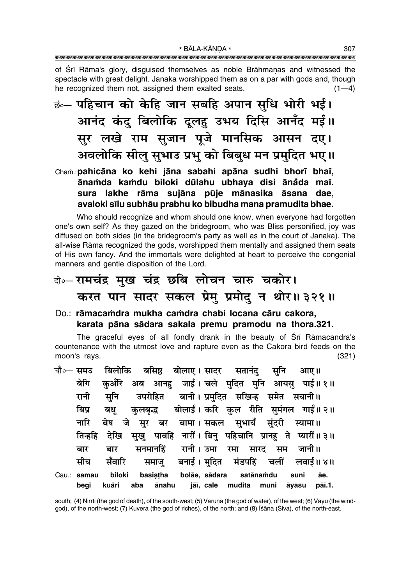of Srī Rāma's glory, disguised themselves as noble Brāhmaņas and witnessed the spectacle with great delight. Janaka worshipped them as on a par with gods and, though he recognized them not, assigned them exalted seats.  $(1-4)$ 

<u>ं .</u> पहिचान को केहि जान सबहि अपान सुधि भोरी भई। आनंद कंदु बिलोकि दूलहु उभय दिसि आनँद मई।। सुर लखे राम सुजान पूजे मानसिक आसन दए। अवलोकि सीलू सुभाउ प्रभु को बिबुध मन प्रमुदित भए।।

### Cham.: pahicāna ko kehi jāna sabahi apāna sudhi bhorī bhaī, ānamda kamdu biloki dūlahu ubhaya disi ānåda maī. sura lakhe rāma sujāna pūje mānasika āsana dae, avaloki sīlu subhāu prabhu ko bibudha mana pramudita bhae.

Who should recognize and whom should one know, when everyone had forgotten one's own self? As they gazed on the bridegroom, who was Bliss personified, joy was diffused on both sides (in the bridegroom's party as well as in the court of Janaka). The all-wise Rāma recognized the gods, worshipped them mentally and assigned them seats of His own fancy. And the immortals were delighted at heart to perceive the congenial manners and gentle disposition of the Lord.

## वे⊶रामचंद्र मुख चंद्र छबि लोचन चारु चकोर। करत पान सादर सकल प्रेमु प्रमोदु न थोर॥३२१॥

Do.: rāmacamdra mukha camdra chabi locana cāru cakora, karata pāna sādara sakala premu pramodu na thora.321.

The graceful eyes of all fondly drank in the beauty of Sri Ramacandra's countenance with the utmost love and rapture even as the Cakora bird feeds on the moon's rays.  $(321)$ 

|                     | चौ०— समउ बिलोकि बसिष्ठ बोलाए। सादर सतानंदु सुनि आए॥                                 |                                                                    |
|---------------------|-------------------------------------------------------------------------------------|--------------------------------------------------------------------|
| बेगि                |                                                                                     | कुअँरि अब आनहु जाई।चले मुदित मुनि आयसु पाई॥१॥                      |
| रानी                | सुनि उपरोहित बानी। प्रमुदित सखिन्ह समेत सयानी॥                                      |                                                                    |
| बिप्र               | बध्                                                                                 | कुलबृद्ध बोलाईं। करि कुल रीति सुमंगल गाईं॥२॥                       |
|                     | नारि बेष जे सुर बर बामा।सकल सुभायँ सुंदरी स्यामा॥                                   |                                                                    |
|                     |                                                                                     | तिन्हहि देखि सुखु पावहिं नारीं। बिनु पहिचानि प्रानहु ते प्यारीं॥३॥ |
| बार                 | बार                                                                                 | सनमानहिं रानी।उमा रमा सारद सम जानी॥                                |
| सीय                 |                                                                                     | सँवारि समाजु बनाई।मुदित मंडपहिं चलीं लवाई॥४॥                       |
| Cau.: samau<br>begi | biloki basistha bolāe, sādara satānamdu<br>aba ānahu jāī, cale mudita muni<br>kuåri | suni<br>āe.<br>pāī.1.<br>āyasu                                     |

south; (4) Nirrti (the god of death), of the south-west; (5) Varuna (the god of water), of the west; (6) Vayu (the windgod), of the north-west; (7) Kuvera (the god of riches), of the north; and (8) Isana (Siva), of the north-east.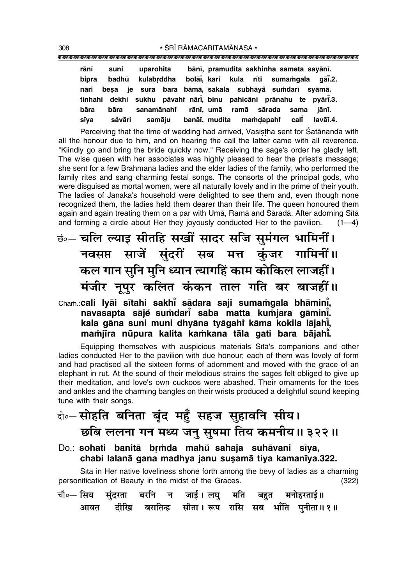| rānī  | suni   | uparohita                                                          |  | bānī, pramudita sakhinha sameta sayānī. |      |          |
|-------|--------|--------------------------------------------------------------------|--|-----------------------------------------|------|----------|
| bipra | badhū  | kulabrddha                                                         |  | bolāi, kari kula rīti sumamgala gāi.2.  |      |          |
|       |        | nāri besa je sura bara bāmā, sakala subhāyå sumdarī syāmā.         |  |                                         |      |          |
|       |        | tinhahi dekhi sukhu pāvahi nārī, binu pahicāni prānahu te pyārī.3. |  |                                         |      |          |
| bāra  | bāra   | sanamānahi rānī, umā ramā sārada                                   |  |                                         | sama | iānī.    |
| sīya  | såvāri | samāju                                                             |  | banāī, mudita mamdapahi calī            |      | lavāī.4. |

Perceiving that the time of wedding had arrived, Vasistha sent for Satananda with all the honour due to him, and on hearing the call the latter came with all reverence. "Kiindly go and bring the bride quickly now." Receiving the sage's order he gladly left. The wise queen with her associates was highly pleased to hear the priest's message; she sent for a few Brāhmaṇa ladies and the elder ladies of the family, who performed the family rites and sang charming festal songs. The consorts of the principal gods, who were disquised as mortal women, were all naturally lovely and in the prime of their youth. The ladies of Janaka's household were delighted to see them and, even though none recognized them, the ladies held them dearer than their life. The queen honoured them again and again treating them on a par with Uma, Rama and Śāradā. After adorning Sītā and forming a circle about Her they joyously conducted Her to the pavilion.  $(1-4)$ 

छंं-चलि ल्याइ सीतहि सखीं सादर सजि सुमंगल भामिनीं। नवसप्त साजें सुंदरीं सब मत्त कुंजर गामिनीं॥ कल गान सुनि मुनि ध्यान त्यागहिं काम कोकिल लाजहीं। मंजीर नूपुर कलित कंकन ताल गति बर बाजहीं।।

### Cham.: cali lyāi sītahi sakhi sādara saji sumamgala bhāmini, navasapta sājē sumdarī saba matta kumjara gāminī. kala gāna suni muni dhyāna tyāgahi kāma kokila lājahī, mamiīra nūpura kalita kamkana tāla gati bara bājahī.

Equipping themselves with auspicious materials Sita's companions and other ladies conducted Her to the pavilion with due honour; each of them was lovely of form and had practised all the sixteen forms of adornment and moved with the grace of an elephant in rut. At the sound of their melodious strains the sages felt obliged to give up their meditation, and love's own cuckoos were abashed. Their ornaments for the toes and ankles and the charming bangles on their wrists produced a delightful sound keeping tune with their songs.

# के-सोहति बनिता बुंद महँ सहज सुहावनि सीय।

- छबि ललना गन मध्य जनु सुषमा तिय कमनीय॥३२२॥
- Do.: sohati banitā brmda mahu sahaja suhāvani sīya, chabi lalanā gana madhya janu susamā tiya kamanīya.322.

Sita in Her native loveliness shone forth among the bevy of ladies as a charming personification of Beauty in the midst of the Graces.  $(322)$ 

|  |  |  | चौ०— सिय सुंदरता बरनि न जाई।लघु मति बहुत मनोहरताई॥      |
|--|--|--|---------------------------------------------------------|
|  |  |  | आवत दीखि बरातिन्ह सीता । रूप रासि सब भाँति पुनीता ॥ १ ॥ |

308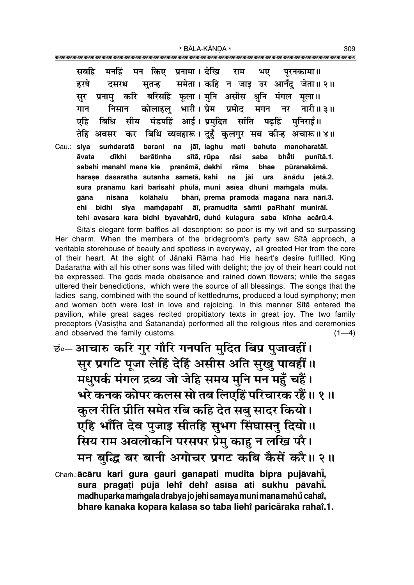सबहि मन किए प्रनामा। देखि मनहिं राम भए परनकामा ॥ समेता। कहि न जाइ उर आनँद जेता॥ २॥ हरषे सतन्ह दसरथ करि बरिसहिं फूला। मुनि असीस धुनि मंगल मूला॥ सर प्रनाम कोलाहल भारी। प्रेम प्रमोद निसान मगन नर नारी॥ ३॥ गान मंडपहिं आई। प्रमदित सांति पढहिं एहि बिधि मीय मनिराई॥ बिधि ब्यवहारू। दुहुँ कुलगुर सब कीन्ह अचारू॥४॥ तेहि अवसर कर iāī. Iaahu Cau.: siva sumdaratā barani na mati bahuta manoharatāj. dīkhi barātinha sītā, rūpa bhăti āvata rāsi saba punītā.1. sabahi manahi mana kie pranāmā, dekhi bhae pūranakāmā. rāma harase dasaratha sutanha sametā, kahi na jāi ura ānådu ietā.2. sura pranāmu kari barisahi phūlā, muni asīsa dhuni mamgala mūlā. bhārī, prema pramoda magana nara nārī.3. qāna nisāna kolāhalu sīya āī, pramudita sāmti paRhahi munirāī. bidhi mamdapahi ehi tehi avasara kara bidhi byavahārū, duhů kulagura saba kīnha acārū.4.

Sita's elegant form baffles all description: so poor is my wit and so surpassing Her charm. When the members of the bridegroom's party saw Sita approach, a veritable storehouse of beauty and spotless in everyway, all greeted Her from the core of their heart. At the sight of Jānakī Rāma had His heart's desire fulfilled. King Daśaratha with all his other sons was filled with delight; the joy of their heart could not be expressed. The gods made obeisance and rained down flowers; while the sages uttered their benedictions, which were the source of all blessings. The songs that the ladies sang, combined with the sound of kettledrums, produced a loud symphony; men and women both were lost in love and rejoicing. In this manner Sita entered the pavilion, while great sages recited propitiatory texts in great joy. The two family preceptors (Vasistha and Satānanda) performed all the religious rites and ceremonies and observed the family customs.  $(1-4)$ 

इं∘– आचारु करि गुर गौरि गनपति मुदित बिप्र पुजावहीं। सुर प्रगटि पूजा लेहिं देहिं असीस अति सुखु पावहीं॥ मधुपर्क मंगल द्रब्य जो जेहि समय मुनि मन महुँ चहैं। भरे कनक कोपर कलस सो तब लिएहिं परिचारक रहैं॥ १॥ कुल रीति प्रीति समेत रबि कहि देत सबु सादर कियो। एहि भाँति देव पुजाइ सीतहि सुभग सिंघासनु दियो ॥ सिय राम अवलोकनि परसपर प्रेमु काहु न लखि परै। मन बुद्धि बर बानी अगोचर प्रगट कबि कैसें करै।। २॥ Cham.: ācāru kari gura gauri ganapati mudita bipra pujāvahī,

sura pragati pūjā lehi dehi asīsa ati sukhu pāvahī. madhuparka mamgala drabya jo jehi samaya muni mana mahů cahať, bhare kanaka kopara kalasa so taba liehi paricāraka rahai.1. 309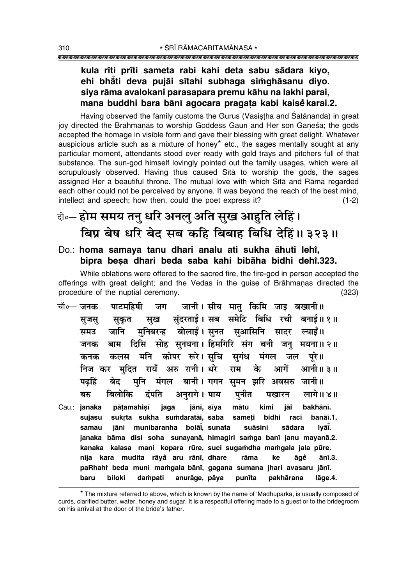### kula rīti prīti sameta rabi kahi deta sabu sādara kiyo, ehi bhăti deva pujāi sītahi subhaga simghāsanu diyo. siya rāma avalokani parasapara premu kāhu na lakhi parai, mana buddhi bara bānī agocara pragata kabi kaisē karai.2.

Having observed the family customs the Gurus (Vasistha and Śatānanda) in great joy directed the Brāhmanas to worship Goddess Gauri and Her son Ganesa: the gods accepted the homage in visible form and gave their blessing with great delight. Whatever auspicious article such as a mixture of honey\* etc., the sages mentally sought at any particular moment, attendants stood ever ready with gold trays and pitchers full of that substance. The sun-god himself lovingly pointed out the family usages, which were all scrupulously observed. Having thus caused Sita to worship the gods, the sages assigned Her a beautiful throne. The mutual love with which Sita and Rama regarded each other could not be perceived by anyone. It was beyond the reach of the best mind, intellect and speech; how then, could the poet express it?  $(1-2)$ 

## वे॰– होम समय तन् धरि अनल् अति सुख आहुति लेहिं। बिप्र बेष धरि बेद सब कहि बिबाह बिधि देहिं॥ ३२३॥

Do.: homa samaya tanu dhari analu ati sukha āhuti lehi, bipra besa dhari beda saba kahi bibāha bidhi dehi.323.

While oblations were offered to the sacred fire, the fire-god in person accepted the offerings with great delight; and the Vedas in the guise of Brahmanas directed the procedure of the nuptial ceremony.  $(323)$ 

- जानी। सीय मात किमि जाइ बखानी॥ चौ∘— जनक पाटमहिषी जग सख संदरताई। सब समेटि बिधि रची बनाई॥१॥ सकत सजस मुनिबरन्ह बोलाईं।सूनत सुआसिनि सादर ल्याईं॥ जानि समउ जनक बाम दिसि सोह सनयना। हिमगिरि संग बनी जन मयना॥ २॥ कलस मनि कोपर रूरे।सचि सगंध मंगल जल कनक परे ॥ निज कर मदित रायँ अरु रानी। धरे राम के आगें आनी॥ ३॥ मूनि मंगल बानी। गगन समन झरि अवसरु जानी॥ पढहिं बेट बरु बिलोकि दंपति अनरागे । पाय पनीत लागे।। ४॥ पखारन
- pātamahisī jānī, sīya Cau.: janaka jaga mātu kimi jāi bakhānī. suiasu sukrta sukha sumdaratāī, saba sameti bidhi racī banāī.1. jāni munibaranha bolāi, sunata suāsini sādara Ivāĭ. samau janaka bāma disi soha sunayanā, himagiri samga banī janu mayanā.2. kanaka kalasa mani kopara rūre, suci sugamdha mamgala jala pūre. nija kara mudita rāyå aru rānī, dhare rāma āgě ke ānī.3. paRhahi beda muni mamgala bānī, gagana sumana jhari avasaru jānī. anurāge, pāya **baru** biloki dampati punīta pakhārana lāge.4.

<sup>\*</sup> The mixture referred to above, which is known by the name of 'Madhuparka, is usually composed of curds, clarified butter, water, honey and sugar. It is a respectful offering made to a guest or to the bridegroom on his arrival at the door of the bride's father.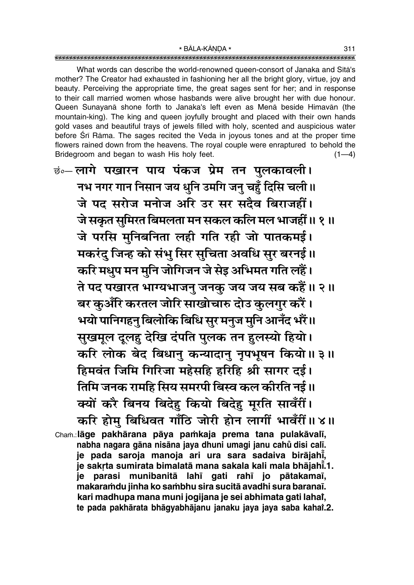What words can describe the world-renowned queen-consort of Janaka and Sita's mother? The Creator had exhausted in fashioning her all the bright glory, virtue, joy and beauty. Perceiving the appropriate time, the great sages sent for her; and in response to their call married women whose hasbands were alive brought her with due honour. Queen Sunayanā shone forth to Janaka's left even as Menā beside Himavān (the mountain-king). The king and queen joyfully brought and placed with their own hands gold vases and beautiful trays of jewels filled with holy, scented and auspicious water before Sri Rama. The sages recited the Veda in joyous tones and at the proper time flowers rained down from the heavens. The royal couple were enraptured to behold the Bridegroom and began to wash His holy feet.  $(1-4)$ 

छं०-लागे पखारन पाय पंकज प्रेम तन पुलकावली। नभ नगर गान निसान जय धुनि उमगि जनु चहुँ दिसि चली॥ जे पद सरोज मनोज अरि उर सर सदैव बिराजहीं। जे सकृत सुमिरत बिमलता मन सकल कलि मल भाजहीं ॥ १ ॥ जे परसि मुनिबनिता लही गति रही जो पातकमई। मकरंदु जिन्ह को संभु सिर सुचिता अवधि सुर बरनई।। करि मधुप मन मुनि जोगिजन जे सेइ अभिमत गति लहैं। ते पद पखारत भाग्यभाजनु जनकु जय जय सब कहैं॥ २॥ बर कुअँरि करतल जोरि साखोचारु दोउ कुलगुर करैं। भयो पानिगहनु बिलोकि बिधि सुर मनुज मुनि आनँद भरैं॥ सुखमूल दूलहु देखि दंपति पुलक तन हुलस्यो हियो। करि लोक बेद बिधानु कन्यादानु नृपभूषन कियो ॥ ३ ॥ हिमवंत जिमि गिरिजा महेसहि हरिहि श्री सागर दई। तिमि जनक रामहि सिय समरपी बिस्व कल कीरति नई।। क्यों करै बिनय बिदेह कियो बिदेह मूरति सावँरीं। करि होम् बिधिवत गाँठि जोरी होन लागीं भावँरीं ॥४॥ Cham.:lāge pakhārana pāya pamkaja prema tana pulakāvalī, nabha nagara gāna nisāna jaya dhuni umagi janu cahu disi calī. je pada saroja manoja ari ura sara sadaiva birājahi, je sakrta sumirata bimalatā mana sakala kali mala bhājahī.1.

je parasi munibanitā lahī gati rahī jo pātakamaī, makaramdu jinha ko sambhu sira sucitā avadhi sura baranaī. kari madhupa mana muni jogijana je sei abhimata gati lahai, te pada pakhārata bhāqyabhājanu janaku jaya jaya saba kaha''.2.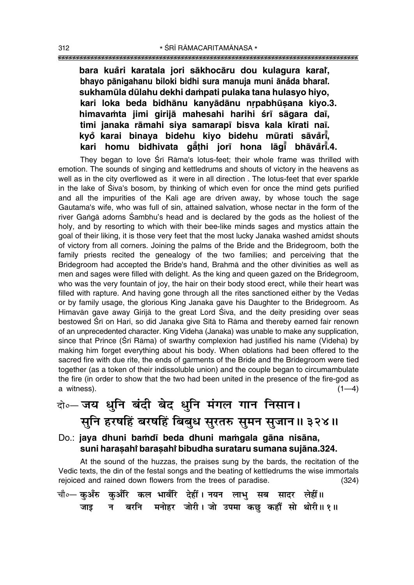bara kuåri karatala jori sākhocāru dou kulagura kara**r**, bhayo pānigahanu biloki bidhi sura manuja muni ānăda bhara<mark>î</mark>. sukhamūla dūlahu dekhi dampati pulaka tana hulasyo hiyo, kari loka beda bidhānu kanyādānu nrpabhūsana kiyo.3. himavamta jimi girijā mahesahi harihi śrī sāgara daī, **timi janaka råmahi siya samarap∂ bisva kala k∂rati na∂. kyo karai binaya bidehu kiyo bidehu mµurati såva ° °r∂° , kari homu bidhivata gå° ¢hi jor∂ hona låg∂° bhåva°r∂° .4.**

They began to love Śrī Rāma's lotus-feet; their whole frame was thrilled with emotion. The sounds of singing and kettledrums and shouts of victory in the heavens as well as in the city overflowed as it were in all direction . The lotus-feet that ever sparkle in the lake of Siva's bosom, by thinking of which even for once the mind gets purified and all the impurities of the Kali age are driven away, by whose touch the sage Gautama's wife, who was full of sin, attained salvation, whose nectar in the form of the river Gangā adorns Sambhu's head and is declared by the gods as the holiest of the holy, and by resorting to which with their bee-like minds sages and mystics attain the goal of their liking, it is those very feet that the most lucky Janaka washed amidst shouts of victory from all corners. Joining the palms of the Bride and the Bridegroom, both the family priests recited the genealogy of the two families; and perceiving that the Bridegroom had accepted the Bride's hand, Brahmå and the other divinities as well as men and sages were filled with delight. As the king and queen gazed on the Bridegroom, who was the very fountain of joy, the hair on their body stood erect, while their heart was filled with rapture. And having gone through all the rites sanctioned either by the Vedas or by family usage, the glorious King Janaka gave his Daughter to the Bridegroom. As Himavān gave away Girijā to the great Lord Śiva, and the deity presiding over seas bestowed Śrī on Hari, so did Janaka give Sītā to Rāma and thereby earned fair renown of an unprecedented character. King Videha (Janaka) was unable to make any supplication, since that Prince (Śrī Rāma) of swarthy complexion had justified his name (Videha) by making him forget everything about his body. When oblations had been offered to the sacred fire with due rite, the ends of garments of the Bride and the Bridegroom were tied together (as a token of their indissoluble union) and the couple began to circumambulate the fire (in order to show that the two had been united in the presence of the fire-god as a witness).  $(1-4)$ 

## दो**०– जय धुनि बंदी बेद धुनि मंगल गान निसान।** सूनि हरषहिं बरषहिं बिबुध सुरतरु सुमन सुजान॥ ३२४॥

Do.: **jaya dhuni bamdī beda dhuni mamgala gāna nisāna**, **suni hara¶ahiÚ bara¶ahiÚ bibudha surataru sumana sujåna.324.**

At the sound of the huzzas, the praises sung by the bards, the recitation of the Vedic texts, the din of the festal songs and the beating of kettledrums the wise immortals rejoiced and rained down flowers from the trees of paradise. (324)

| चौ∘— कुअँरु कुअँरि कल भावँरि देहीं। नयन लाभु सब सादर लेहीं॥ |  |                                                    |  |  |
|-------------------------------------------------------------|--|----------------------------------------------------|--|--|
|                                                             |  | जाइ न बरनि मनोहर जोरी। जो उपमा कछु कहौँ सो थोरी॥१॥ |  |  |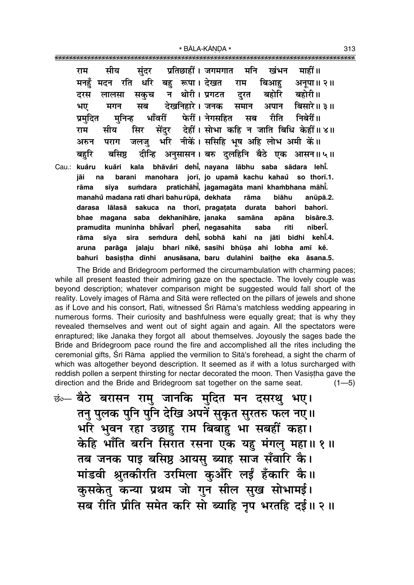| सीय सुंदर प्रतिछाहीं।जगमगात मनि खंभन माहीं॥<br>राम                      |
|-------------------------------------------------------------------------|
| मनहुँ मदन रति धरि बहु रूपा। देखत राम बिआहु अनूपा॥ २॥                    |
| लालसा सकुच न थोरी।प्रगटत दुरत बहोरि बहोरी॥<br>दरस                       |
| मगन सब देखनिहारे।जनक समान अपान बिसारे॥३॥<br>भए                          |
| प्रमुदित मुनिन्ह भाँवरीं फेरीं। नेगसहित सब रीति निबेरीं॥                |
| सीय सिर सेंदुर देहीं। सोभा कहि न जाति बिधि केहीं॥४॥<br>राम              |
| पराग जलजु भरि नीकें। ससिहि भूष अहि लोभ अमी कें।।<br>अरुन                |
| बहुरि    बसिष्ठ    दीन्हि   अनुसासन । बरु  दुलहिनि   बैठे   एक   आसन॥५॥ |
| Cau.: kuåru kuåri kala bhāvåri dehi, nayana lābhu saba sādara lehi.     |
| na barani manohara jorī, jo upamā kachu kahaŭ so thorī.1.<br>jāi        |
| sīya sumdara pratichāhī, jagamagāta mani khambhana māhī.<br>rāma        |
| manahů madana rati dhari bahu rūpā, dekhata rāma biāhu<br>anūpā.2.      |
| darasa lālasā sakuca na thorī, pragatata durata bahori bahorī.          |
| bhae magana saba dekhanihāre, janaka samāna apāna bisāre.3.             |
| pramudita muninha bhẳvari̇̃ pheri̇̃, negasahita asaba<br>rīti niberī.   |
| sīya sira semdura dehī, sobhā kahi na jāti bidhi kehī.4.<br>rāma        |
| parāga jalaju bhari nīkė, sasihi bhūsa ahi lobha amī kė.<br>aruna       |
| basistha dīnhi anusāsana, baru dulahini baithe eka āsana.5.<br>bahuri   |

The Bride and Bridegroom performed the circumambulation with charming paces; while all present feasted their admiring gaze on the spectacle. The lovely couple was beyond description; whatever comparison might be suggested would fall short of the reality. Lovely images of Rama and Sita were reflected on the pillars of jewels and shone as if Love and his consort, Rati, witnessed Sri Rāma's matchless wedding appearing in numerous forms. Their curiosity and bashfulness were equally great; that is why they revealed themselves and went out of sight again and again. All the spectators were enraptured; like Janaka they forgot all about themselves. Joyously the sages bade the Bride and Bridegroom pace round the fire and accomplished all the rites including the ceremonial gifts, Srī Rāma applied the vermilion to Sītā's forehead, a sight the charm of which was altogether beyond description. It seemed as if with a lotus surcharged with reddish pollen a serpent thirsting for nectar decorated the moon. Then Vasistha gave the direction and the Bride and Bridegroom sat together on the same seat.  $(1 - 5)$ 

<u>छंल्</u> बैठे बरासन रामु जानकि मुदित मन दसरथु भए। तनु पुलक पुनि पुनि देखि अपने सुकृत सुरतरु फल नए॥ भरि भुवन रहा उछाहु राम बिबाहु भा सबहीं कहा। केहि भाँति बरनि सिरात रसना एक यह मंगलु महा॥ १॥ तब जनक पाइ बसिष्ठ आयसु ब्याह साज सँवारि कै। मांडवी श्रुतकीरति उरमिला कुअँरि लईं हँकारि कै।। कुसकेतु कन्या प्रथम जो गुन सील सुख सोभामई। सब रीति प्रीति समेत करि सो ब्याहि नृप भरतहि दई।। २ ॥ 313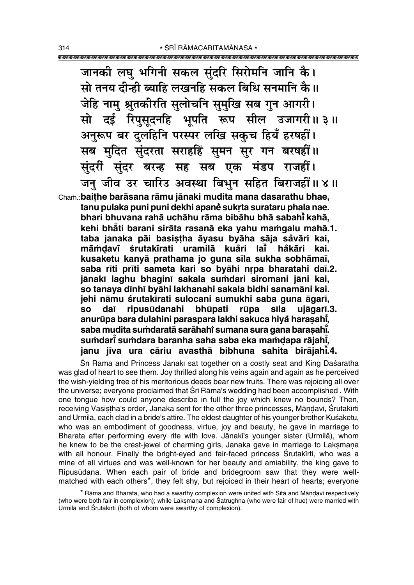जानकी लघु भगिनी सकल सुंदरि सिरोमनि जानि कै। सो तनय दीन्ही ब्याहि लखनहि सकल बिधि सनमानि कै।। जेहि नाम श्रुतकीरति सुलोचनि सुमुखि सब गुन आगरी। सो दई रिपुसूदनहि भूपति रूप सील उजागरी।। ३॥ अनुरूप बर दुलहिनि परस्पर लखि सकुच हियँ हरषहीं। सब मुदित सुंदरता सराहहिं सुमन सुर गन बरषहीं।। सुंदरीं सुंदर बरन्ह सह सब एक मंडप राजहीं। जन जीव उर चारिउ अवस्था बिभन सहित बिराजहीं॥४॥

Cham.: baithe barāsana rāmu jānaki mudita mana dasarathu bhae, tanu pulaka puni puni dekhi apaně sukrta surataru phala nae. bhari bhuvana rahā uchāhu rāma bibāhu bhā sabahī kahā, kehi bhăti barani sirāta rasanā eka yahu mamqalu mahā.1. taba janaka pāi basistha āyasu byāha sāja såvāri kai, māmdavī śrutakīrati uramilā kuåri lai håkāri kai. kusaketu kanyā prathama jo guna sīla sukha sobhāmaī, saba rīti prīti sameta kari so byāhi nrpa bharatahi daī.2. jānakī laghu bhaginī sakala sumdari siromani jāni kai, so tanaya dinhi byahi lakhanahi sakala bidhi sanamani kai. jehi nāmu śrutakīrati sulocani sumukhi saba guna āgarī, ripusūdanahi bhūpati rūpa sīla ujāgarī.3. **SO** daī anurūpa bara dulahini paraspara lakhi sakuca hiyå harasahi, saba mudita sumdaratā sarāhahi sumana sura gana barasahī. sumdari sumdara baranha saha saba eka mamdapa rājahi, janu jīva ura cāriu avasthā bibhuna sahita birāiahī.4.

Śrī Rāma and Princess Jānakī sat together on a costly seat and King Daśaratha was glad of heart to see them. Joy thrilled along his veins again and again as he perceived the wish-yielding tree of his meritorious deeds bear new fruits. There was rejoicing all over the universe; everyone proclaimed that Sri Rama's wedding had been accomplished. With one tongue how could anyone describe in full the joy which knew no bounds? Then, receiving Vasistha's order, Janaka sent for the other three princesses, Māndavī, Śrutakīrti and Urmila, each clad in a bride's attire. The eldest daughter of his younger brother Kuśaketu, who was an embodiment of goodness, virtue, joy and beauty, he gave in marriage to Bharata after performing every rite with love. Jānakī's younger sister (Urmilā), whom he knew to be the crest-jewel of charming girls, Janaka gave in marriage to Laksmana with all honour. Finally the bright-eyed and fair-faced princess Srutakirti, who was a mine of all virtues and was well-known for her beauty and amiability, the king gave to Ripusūdana. When each pair of bride and bridegroom saw that they were wellmatched with each others<sup>\*</sup>, they felt shy, but rejoiced in their heart of hearts; everyone

<sup>\*</sup> Rāma and Bharata, who had a swarthy complexion were united with Sītā and Māndavī respectively (who were both fair in complexion); while Laksmana and Satrughna (who were fair of hue) were married with Urmilā and Śrutakīrti (both of whom were swarthy of complexion).